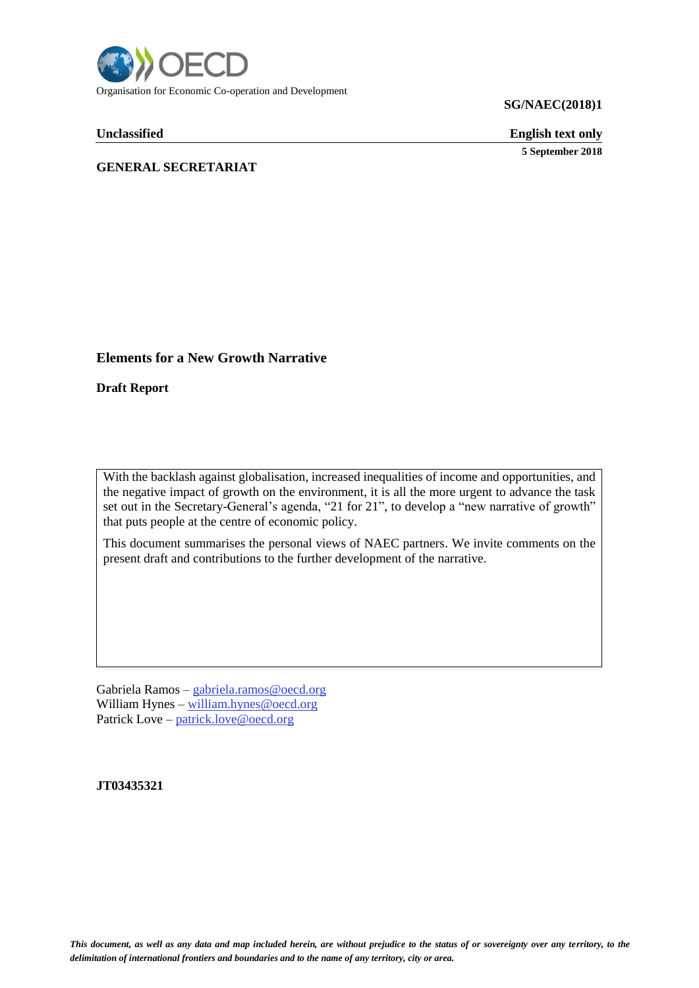

**SG/NAEC(2018)1**

#### **Unclassified English text only**

**5 September 2018**

**GENERAL SECRETARIAT**

# **Elements for a New Growth Narrative**

**Draft Report**

With the backlash against globalisation, increased inequalities of income and opportunities, and the negative impact of growth on the environment, it is all the more urgent to advance the task set out in the Secretary-General's agenda, "21 for 21", to develop a "new narrative of growth" that puts people at the centre of economic policy.

This document summarises the personal views of NAEC partners. We invite comments on the present draft and contributions to the further development of the narrative.

Gabriela Ramos – [gabriela.ramos@oecd.org](mailto:gabriela.ramos@oecd.org) William Hynes – [william.hynes@oecd.org](mailto:william.hynes@oecd.org) Patrick Love – [patrick.love@oecd.org](mailto:patrick.love@oecd.org)

**JT03435321**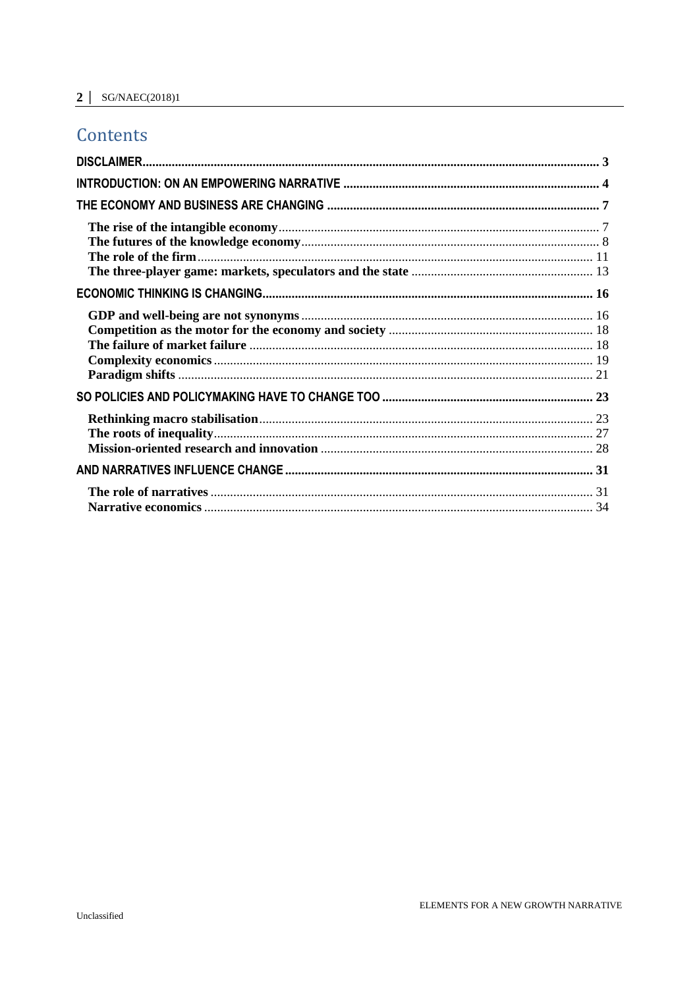# $2$  | SG/NAEC(2018)1

# Contents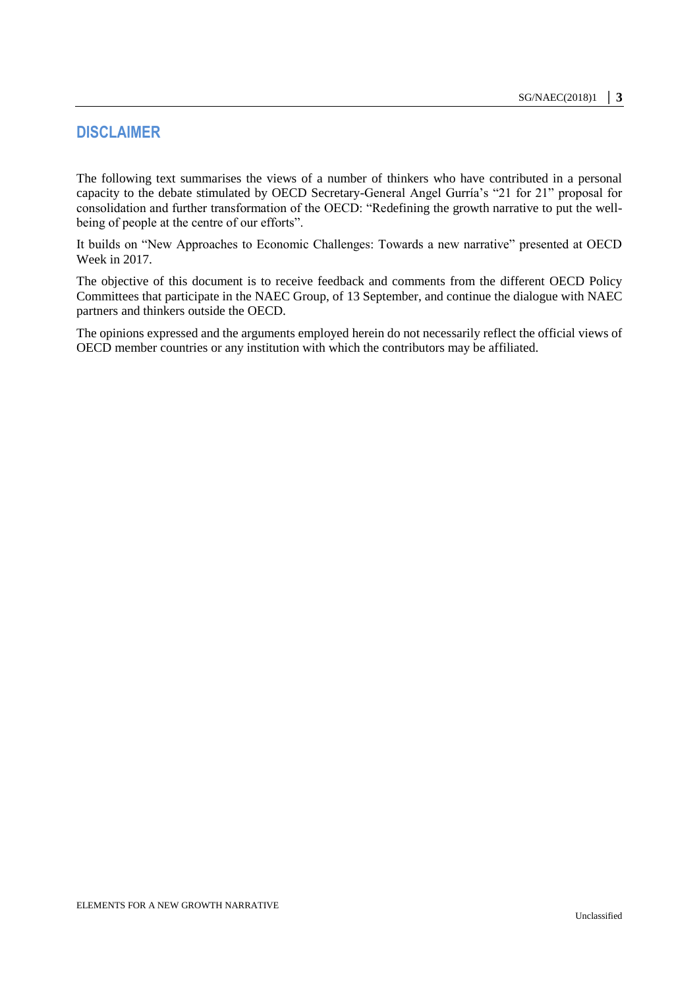# <span id="page-2-0"></span>**DISCLAIMER**

The following text summarises the views of a number of thinkers who have contributed in a personal capacity to the debate stimulated by OECD Secretary-General Angel Gurría's "21 for 21" proposal for consolidation and further transformation of the OECD: "Redefining the growth narrative to put the wellbeing of people at the centre of our efforts".

It builds on "New Approaches to Economic Challenges: Towards a new narrative" presented at OECD Week in 2017.

The objective of this document is to receive feedback and comments from the different OECD Policy Committees that participate in the NAEC Group, of 13 September, and continue the dialogue with NAEC partners and thinkers outside the OECD.

The opinions expressed and the arguments employed herein do not necessarily reflect the official views of OECD member countries or any institution with which the contributors may be affiliated.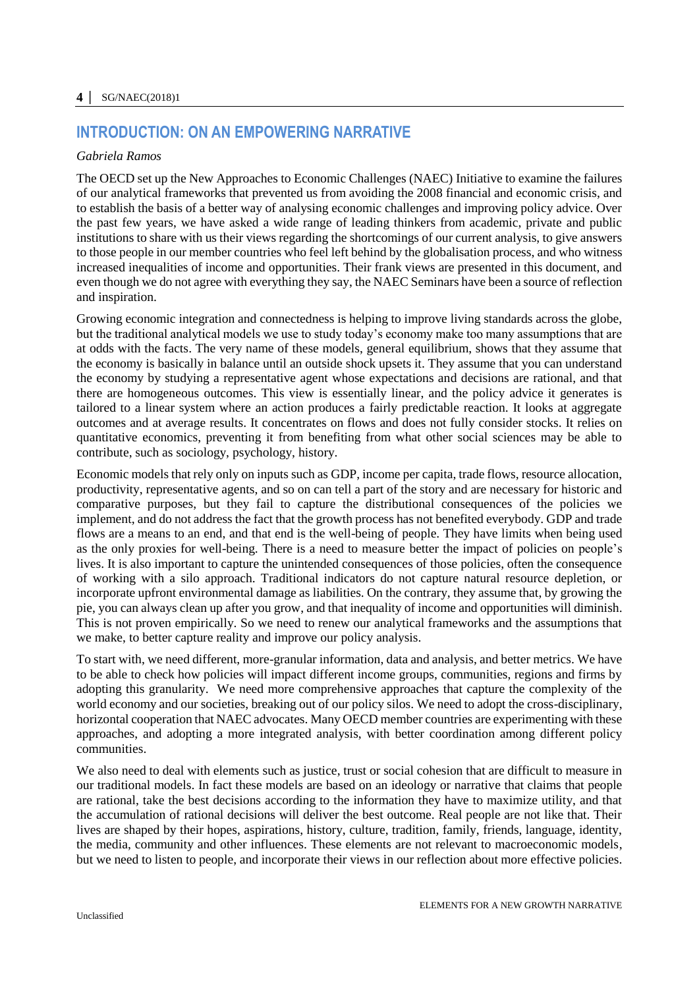# <span id="page-3-0"></span>**INTRODUCTION: ON AN EMPOWERING NARRATIVE**

# *Gabriela Ramos*

The OECD set up the New Approaches to Economic Challenges (NAEC) Initiative to examine the failures of our analytical frameworks that prevented us from avoiding the 2008 financial and economic crisis, and to establish the basis of a better way of analysing economic challenges and improving policy advice. Over the past few years, we have asked a wide range of leading thinkers from academic, private and public institutions to share with us their views regarding the shortcomings of our current analysis, to give answers to those people in our member countries who feel left behind by the globalisation process, and who witness increased inequalities of income and opportunities. Their frank views are presented in this document, and even though we do not agree with everything they say, the NAEC Seminars have been a source of reflection and inspiration.

Growing economic integration and connectedness is helping to improve living standards across the globe, but the traditional analytical models we use to study today's economy make too many assumptions that are at odds with the facts. The very name of these models, general equilibrium, shows that they assume that the economy is basically in balance until an outside shock upsets it. They assume that you can understand the economy by studying a representative agent whose expectations and decisions are rational, and that there are homogeneous outcomes. This view is essentially linear, and the policy advice it generates is tailored to a linear system where an action produces a fairly predictable reaction. It looks at aggregate outcomes and at average results. It concentrates on flows and does not fully consider stocks. It relies on quantitative economics, preventing it from benefiting from what other social sciences may be able to contribute, such as sociology, psychology, history.

Economic models that rely only on inputs such as GDP, income per capita, trade flows, resource allocation, productivity, representative agents, and so on can tell a part of the story and are necessary for historic and comparative purposes, but they fail to capture the distributional consequences of the policies we implement, and do not address the fact that the growth process has not benefited everybody. GDP and trade flows are a means to an end, and that end is the well-being of people. They have limits when being used as the only proxies for well-being. There is a need to measure better the impact of policies on people's lives. It is also important to capture the unintended consequences of those policies, often the consequence of working with a silo approach. Traditional indicators do not capture natural resource depletion, or incorporate upfront environmental damage as liabilities. On the contrary, they assume that, by growing the pie, you can always clean up after you grow, and that inequality of income and opportunities will diminish. This is not proven empirically. So we need to renew our analytical frameworks and the assumptions that we make, to better capture reality and improve our policy analysis.

To start with, we need different, more-granular information, data and analysis, and better metrics. We have to be able to check how policies will impact different income groups, communities, regions and firms by adopting this granularity. We need more comprehensive approaches that capture the complexity of the world economy and our societies, breaking out of our policy silos. We need to adopt the cross-disciplinary, horizontal cooperation that NAEC advocates. Many OECD member countries are experimenting with these approaches, and adopting a more integrated analysis, with better coordination among different policy communities.

We also need to deal with elements such as justice, trust or social cohesion that are difficult to measure in our traditional models. In fact these models are based on an ideology or narrative that claims that people are rational, take the best decisions according to the information they have to maximize utility, and that the accumulation of rational decisions will deliver the best outcome. Real people are not like that. Their lives are shaped by their hopes, aspirations, history, culture, tradition, family, friends, language, identity, the media, community and other influences. These elements are not relevant to macroeconomic models, but we need to listen to people, and incorporate their views in our reflection about more effective policies.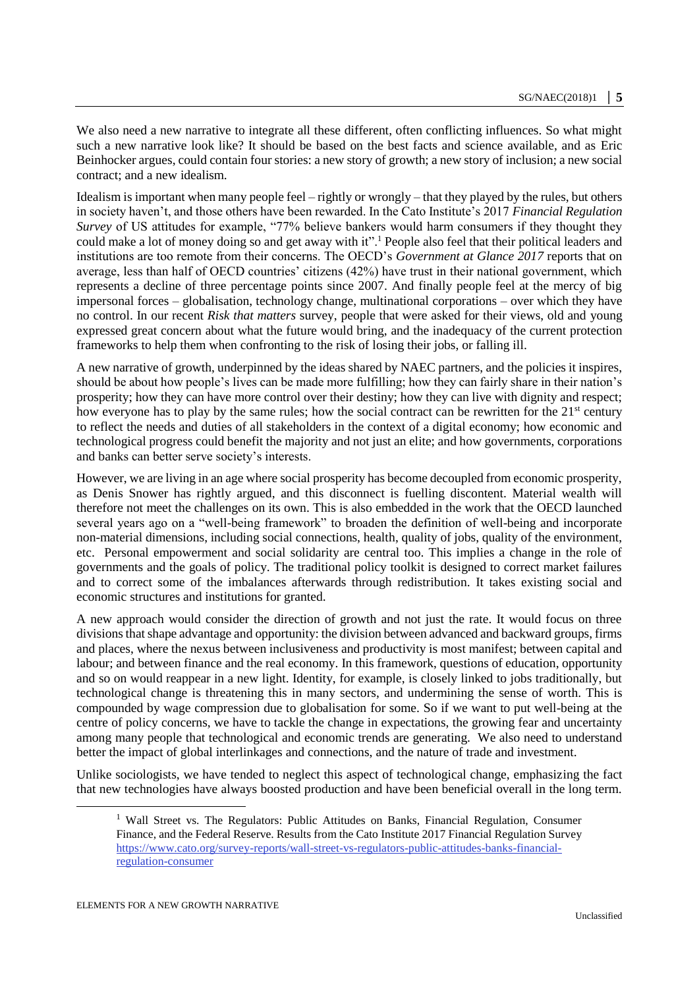We also need a new narrative to integrate all these different, often conflicting influences. So what might such a new narrative look like? It should be based on the best facts and science available, and as Eric Beinhocker argues, could contain four stories: a new story of growth; a new story of inclusion; a new social contract; and a new idealism.

Idealism is important when many people feel – rightly or wrongly – that they played by the rules, but others in society haven't, and those others have been rewarded. In the Cato Institute's 2017 *Financial Regulation Survey* of US attitudes for example, "77% believe bankers would harm consumers if they thought they could make a lot of money doing so and get away with it".<sup>1</sup> People also feel that their political leaders and institutions are too remote from their concerns. The OECD's *Government at Glance 2017* reports that on average, less than half of OECD countries' citizens (42%) have trust in their national government, which represents a decline of three percentage points since 2007. And finally people feel at the mercy of big impersonal forces – globalisation, technology change, multinational corporations – over which they have no control. In our recent *Risk that matters* survey, people that were asked for their views, old and young expressed great concern about what the future would bring, and the inadequacy of the current protection frameworks to help them when confronting to the risk of losing their jobs, or falling ill.

A new narrative of growth, underpinned by the ideas shared by NAEC partners, and the policies it inspires, should be about how people's lives can be made more fulfilling; how they can fairly share in their nation's prosperity; how they can have more control over their destiny; how they can live with dignity and respect; how everyone has to play by the same rules; how the social contract can be rewritten for the  $21<sup>st</sup>$  century to reflect the needs and duties of all stakeholders in the context of a digital economy; how economic and technological progress could benefit the majority and not just an elite; and how governments, corporations and banks can better serve society's interests.

However, we are living in an age where social prosperity has become decoupled from economic prosperity, as Denis Snower has rightly argued, and this disconnect is fuelling discontent. Material wealth will therefore not meet the challenges on its own. This is also embedded in the work that the OECD launched several years ago on a "well-being framework" to broaden the definition of well-being and incorporate non-material dimensions, including social connections, health, quality of jobs, quality of the environment, etc. Personal empowerment and social solidarity are central too. This implies a change in the role of governments and the goals of policy. The traditional policy toolkit is designed to correct market failures and to correct some of the imbalances afterwards through redistribution. It takes existing social and economic structures and institutions for granted.

A new approach would consider the direction of growth and not just the rate. It would focus on three divisions that shape advantage and opportunity: the division between advanced and backward groups, firms and places, where the nexus between inclusiveness and productivity is most manifest; between capital and labour; and between finance and the real economy. In this framework, questions of education, opportunity and so on would reappear in a new light. Identity, for example, is closely linked to jobs traditionally, but technological change is threatening this in many sectors, and undermining the sense of worth. This is compounded by wage compression due to globalisation for some. So if we want to put well-being at the centre of policy concerns, we have to tackle the change in expectations, the growing fear and uncertainty among many people that technological and economic trends are generating. We also need to understand better the impact of global interlinkages and connections, and the nature of trade and investment.

Unlike sociologists, we have tended to neglect this aspect of technological change, emphasizing the fact that new technologies have always boosted production and have been beneficial overall in the long term.

 $\overline{a}$ 

<sup>&</sup>lt;sup>1</sup> Wall Street vs. The Regulators: Public Attitudes on Banks, Financial Regulation, Consumer Finance, and the Federal Reserve. Results from the Cato Institute 2017 Financial Regulation Survey [https://www.cato.org/survey-reports/wall-street-vs-regulators-public-attitudes-banks-financial](https://www.cato.org/survey-reports/wall-street-vs-regulators-public-attitudes-banks-financial-regulation-consumer)[regulation-consumer](https://www.cato.org/survey-reports/wall-street-vs-regulators-public-attitudes-banks-financial-regulation-consumer)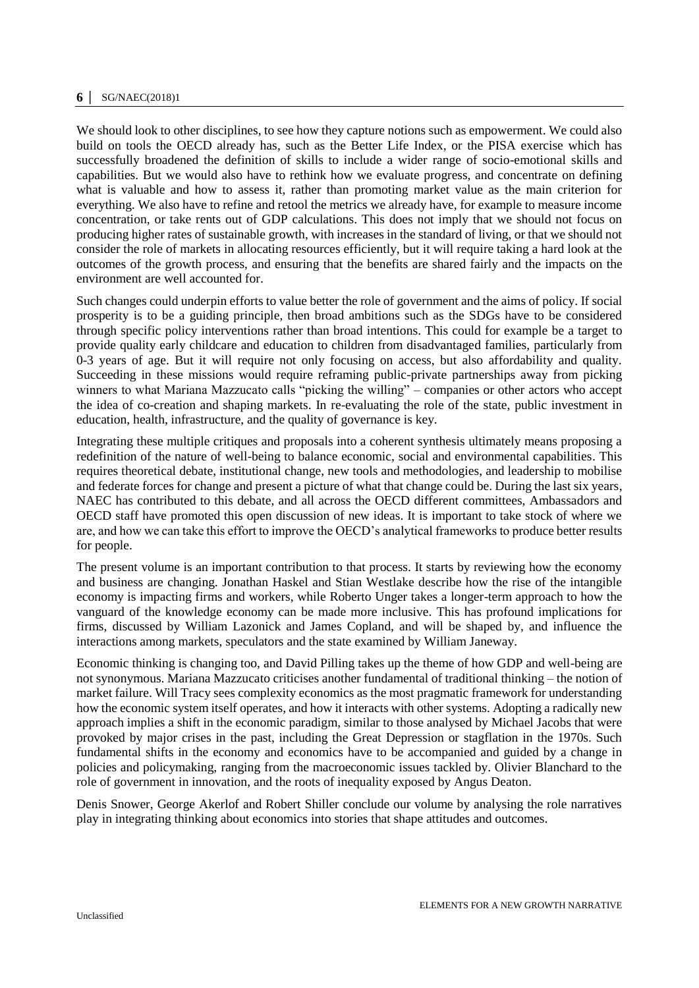#### **6 │** SG/NAEC(2018)1

We should look to other disciplines, to see how they capture notions such as empowerment. We could also build on tools the OECD already has, such as the Better Life Index, or the PISA exercise which has successfully broadened the definition of skills to include a wider range of socio-emotional skills and capabilities. But we would also have to rethink how we evaluate progress, and concentrate on defining what is valuable and how to assess it, rather than promoting market value as the main criterion for everything. We also have to refine and retool the metrics we already have, for example to measure income concentration, or take rents out of GDP calculations. This does not imply that we should not focus on producing higher rates of sustainable growth, with increases in the standard of living, or that we should not consider the role of markets in allocating resources efficiently, but it will require taking a hard look at the outcomes of the growth process, and ensuring that the benefits are shared fairly and the impacts on the environment are well accounted for.

Such changes could underpin efforts to value better the role of government and the aims of policy. If social prosperity is to be a guiding principle, then broad ambitions such as the SDGs have to be considered through specific policy interventions rather than broad intentions. This could for example be a target to provide quality early childcare and education to children from disadvantaged families, particularly from 0-3 years of age. But it will require not only focusing on access, but also affordability and quality. Succeeding in these missions would require reframing public-private partnerships away from picking winners to what Mariana Mazzucato calls "picking the willing" – companies or other actors who accept the idea of co-creation and shaping markets. In re-evaluating the role of the state, public investment in education, health, infrastructure, and the quality of governance is key.

Integrating these multiple critiques and proposals into a coherent synthesis ultimately means proposing a redefinition of the nature of well-being to balance economic, social and environmental capabilities. This requires theoretical debate, institutional change, new tools and methodologies, and leadership to mobilise and federate forces for change and present a picture of what that change could be. During the last six years, NAEC has contributed to this debate, and all across the OECD different committees, Ambassadors and OECD staff have promoted this open discussion of new ideas. It is important to take stock of where we are, and how we can take this effort to improve the OECD's analytical frameworks to produce better results for people.

The present volume is an important contribution to that process. It starts by reviewing how the economy and business are changing. Jonathan Haskel and Stian Westlake describe how the rise of the intangible economy is impacting firms and workers, while Roberto Unger takes a longer-term approach to how the vanguard of the knowledge economy can be made more inclusive. This has profound implications for firms, discussed by William Lazonick and James Copland, and will be shaped by, and influence the interactions among markets, speculators and the state examined by William Janeway.

Economic thinking is changing too, and David Pilling takes up the theme of how GDP and well-being are not synonymous. Mariana Mazzucato criticises another fundamental of traditional thinking – the notion of market failure. Will Tracy sees complexity economics as the most pragmatic framework for understanding how the economic system itself operates, and how it interacts with other systems. Adopting a radically new approach implies a shift in the economic paradigm, similar to those analysed by Michael Jacobs that were provoked by major crises in the past, including the Great Depression or stagflation in the 1970s. Such fundamental shifts in the economy and economics have to be accompanied and guided by a change in policies and policymaking, ranging from the macroeconomic issues tackled by. Olivier Blanchard to the role of government in innovation, and the roots of inequality exposed by Angus Deaton.

Denis Snower, George Akerlof and Robert Shiller conclude our volume by analysing the role narratives play in integrating thinking about economics into stories that shape attitudes and outcomes.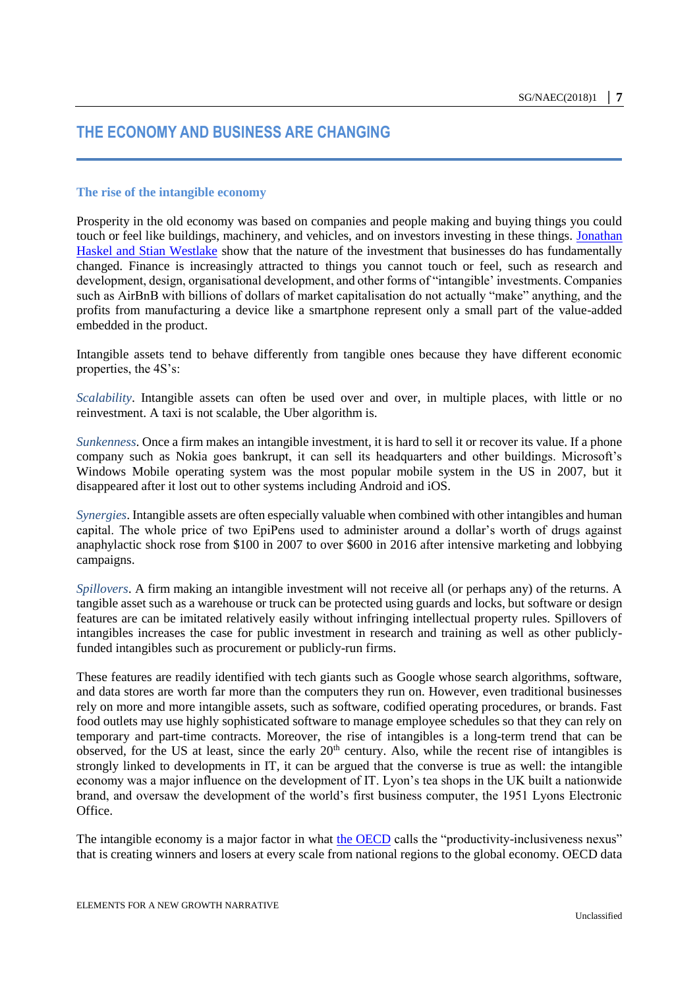# <span id="page-6-0"></span>**THE ECONOMY AND BUSINESS ARE CHANGING**

#### <span id="page-6-1"></span>**The rise of the intangible economy**

Prosperity in the old economy was based on companies and people making and buying things you could touch or feel like buildings, machinery, and vehicles, and on investors investing in these things. [Jonathan](http://oecdtv.oecd.org/4536/or/NAEC-seminar-with-Jonathan-Haskel-and-Stian-Westlake.html)  [Haskel and Stian Westlake](http://oecdtv.oecd.org/4536/or/NAEC-seminar-with-Jonathan-Haskel-and-Stian-Westlake.html) show that the nature of the investment that businesses do has fundamentally changed. Finance is increasingly attracted to things you cannot touch or feel, such as research and development, design, organisational development, and other forms of "intangible' investments. Companies such as AirBnB with billions of dollars of market capitalisation do not actually "make" anything, and the profits from manufacturing a device like a smartphone represent only a small part of the value-added embedded in the product.

Intangible assets tend to behave differently from tangible ones because they have different economic properties, the 4S's:

*Scalability*. Intangible assets can often be used over and over, in multiple places, with little or no reinvestment. A taxi is not scalable, the Uber algorithm is.

*Sunkenness*. Once a firm makes an intangible investment, it is hard to sell it or recover its value. If a phone company such as Nokia goes bankrupt, it can sell its headquarters and other buildings. Microsoft's Windows Mobile operating system was the most popular mobile system in the US in 2007, but it disappeared after it lost out to other systems including Android and iOS.

*Synergies*. Intangible assets are often especially valuable when combined with other intangibles and human capital. The whole price of two EpiPens used to administer around a dollar's worth of drugs against anaphylactic shock rose from \$100 in 2007 to over \$600 in 2016 after intensive marketing and lobbying campaigns.

*Spillovers*. A firm making an intangible investment will not receive all (or perhaps any) of the returns. A tangible asset such as a warehouse or truck can be protected using guards and locks, but software or design features are can be imitated relatively easily without infringing intellectual property rules. Spillovers of intangibles increases the case for public investment in research and training as well as other publiclyfunded intangibles such as procurement or publicly-run firms.

These features are readily identified with tech giants such as Google whose search algorithms, software, and data stores are worth far more than the computers they run on. However, even traditional businesses rely on more and more intangible assets, such as software, codified operating procedures, or brands. Fast food outlets may use highly sophisticated software to manage employee schedules so that they can rely on temporary and part-time contracts. Moreover, the rise of intangibles is a long-term trend that can be observed, for the US at least, since the early 20<sup>th</sup> century. Also, while the recent rise of intangibles is strongly linked to developments in IT, it can be argued that the converse is true as well: the intangible economy was a major influence on the development of IT. Lyon's tea shops in the UK built a nationwide brand, and oversaw the development of the world's first business computer, the 1951 Lyons Electronic Office.

The intangible economy is a major factor in what [the OECD](https://www.oecd.org/eco/growth/Frontier-Firms-Technology-Diffusion-and-Public-Policy-Micro-Evidence-from-OECD-Countries.pdf) calls the "productivity-inclusiveness nexus" that is creating winners and losers at every scale from national regions to the global economy. OECD data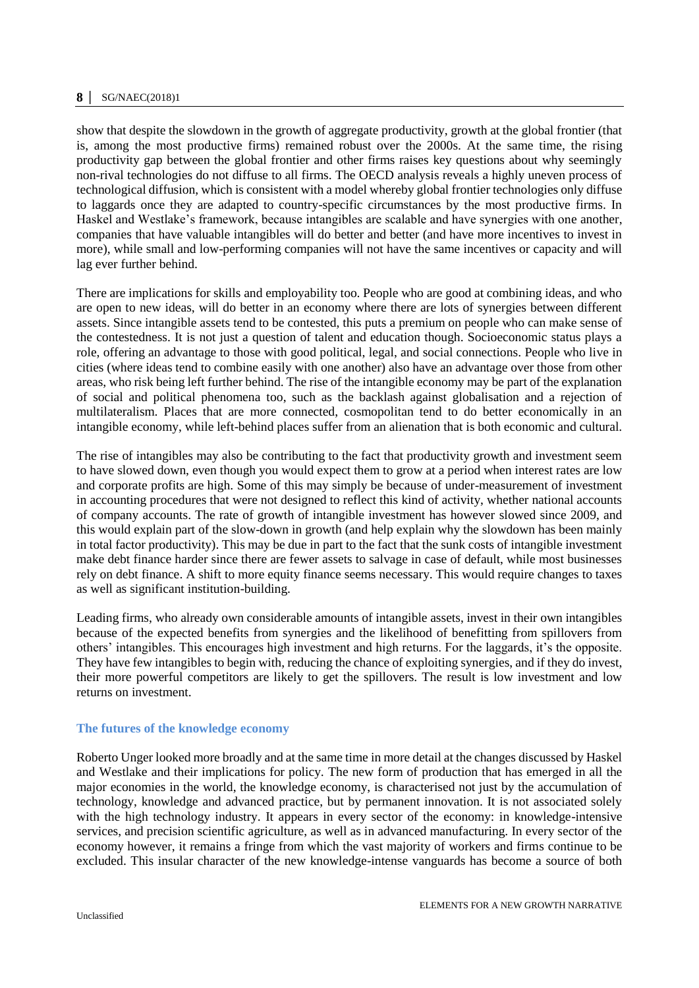#### **8 │** SG/NAEC(2018)1

show that despite the slowdown in the growth of aggregate productivity, growth at the global frontier (that is, among the most productive firms) remained robust over the 2000s. At the same time, the rising productivity gap between the global frontier and other firms raises key questions about why seemingly non-rival technologies do not diffuse to all firms. The OECD analysis reveals a highly uneven process of technological diffusion, which is consistent with a model whereby global frontier technologies only diffuse to laggards once they are adapted to country-specific circumstances by the most productive firms. In Haskel and Westlake's framework, because intangibles are scalable and have synergies with one another, companies that have valuable intangibles will do better and better (and have more incentives to invest in more), while small and low-performing companies will not have the same incentives or capacity and will lag ever further behind.

There are implications for skills and employability too. People who are good at combining ideas, and who are open to new ideas, will do better in an economy where there are lots of synergies between different assets. Since intangible assets tend to be contested, this puts a premium on people who can make sense of the contestedness. It is not just a question of talent and education though. Socioeconomic status plays a role, offering an advantage to those with good political, legal, and social connections. People who live in cities (where ideas tend to combine easily with one another) also have an advantage over those from other areas, who risk being left further behind. The rise of the intangible economy may be part of the explanation of social and political phenomena too, such as the backlash against globalisation and a rejection of multilateralism. Places that are more connected, cosmopolitan tend to do better economically in an intangible economy, while left-behind places suffer from an alienation that is both economic and cultural.

The rise of intangibles may also be contributing to the fact that productivity growth and investment seem to have slowed down, even though you would expect them to grow at a period when interest rates are low and corporate profits are high. Some of this may simply be because of under-measurement of investment in accounting procedures that were not designed to reflect this kind of activity, whether national accounts of company accounts. The rate of growth of intangible investment has however slowed since 2009, and this would explain part of the slow-down in growth (and help explain why the slowdown has been mainly in total factor productivity). This may be due in part to the fact that the sunk costs of intangible investment make debt finance harder since there are fewer assets to salvage in case of default, while most businesses rely on debt finance. A shift to more equity finance seems necessary. This would require changes to taxes as well as significant institution-building.

Leading firms, who already own considerable amounts of intangible assets, invest in their own intangibles because of the expected benefits from synergies and the likelihood of benefitting from spillovers from others' intangibles. This encourages high investment and high returns. For the laggards, it's the opposite. They have few intangibles to begin with, reducing the chance of exploiting synergies, and if they do invest, their more powerful competitors are likely to get the spillovers. The result is low investment and low returns on investment.

# <span id="page-7-0"></span>**The futures of the knowledge economy**

Roberto Unger looked more broadly and at the same time in more detail at the changes discussed by Haskel and Westlake and their implications for policy. The new form of production that has emerged in all the major economies in the world, the knowledge economy, is characterised not just by the accumulation of technology, knowledge and advanced practice, but by permanent innovation. It is not associated solely with the high technology industry. It appears in every sector of the economy: in knowledge-intensive services, and precision scientific agriculture, as well as in advanced manufacturing. In every sector of the economy however, it remains a fringe from which the vast majority of workers and firms continue to be excluded. This insular character of the new knowledge-intense vanguards has become a source of both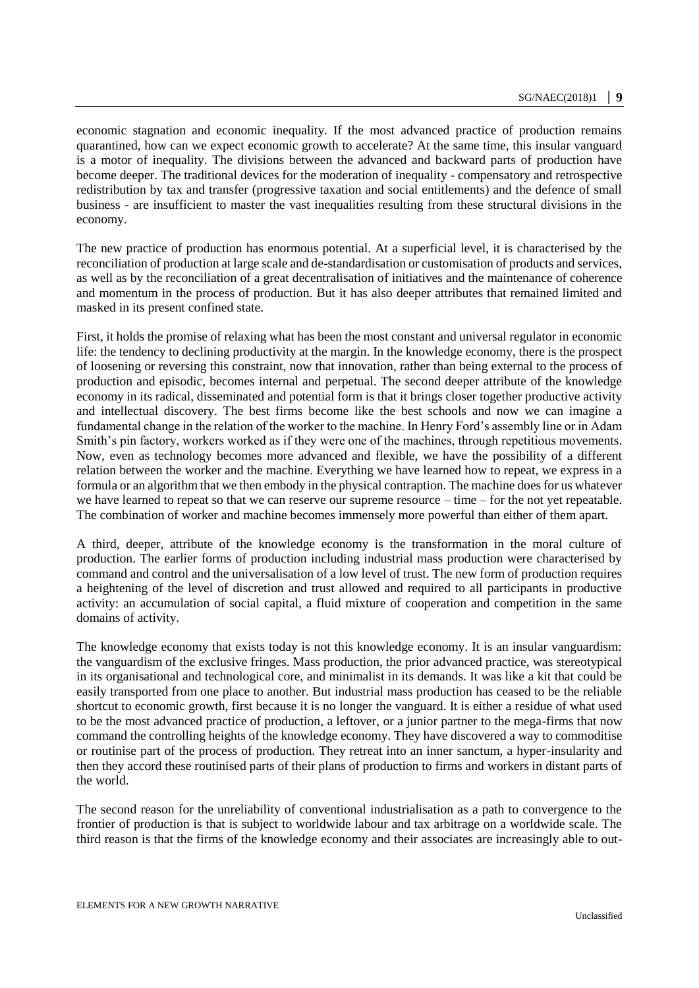economic stagnation and economic inequality. If the most advanced practice of production remains quarantined, how can we expect economic growth to accelerate? At the same time, this insular vanguard is a motor of inequality. The divisions between the advanced and backward parts of production have become deeper. The traditional devices for the moderation of inequality - compensatory and retrospective redistribution by tax and transfer (progressive taxation and social entitlements) and the defence of small business - are insufficient to master the vast inequalities resulting from these structural divisions in the economy.

The new practice of production has enormous potential. At a superficial level, it is characterised by the reconciliation of production at large scale and de-standardisation or customisation of products and services, as well as by the reconciliation of a great decentralisation of initiatives and the maintenance of coherence and momentum in the process of production. But it has also deeper attributes that remained limited and masked in its present confined state.

First, it holds the promise of relaxing what has been the most constant and universal regulator in economic life: the tendency to declining productivity at the margin. In the knowledge economy, there is the prospect of loosening or reversing this constraint, now that innovation, rather than being external to the process of production and episodic, becomes internal and perpetual. The second deeper attribute of the knowledge economy in its radical, disseminated and potential form is that it brings closer together productive activity and intellectual discovery. The best firms become like the best schools and now we can imagine a fundamental change in the relation of the worker to the machine. In Henry Ford's assembly line or in Adam Smith's pin factory, workers worked as if they were one of the machines, through repetitious movements. Now, even as technology becomes more advanced and flexible, we have the possibility of a different relation between the worker and the machine. Everything we have learned how to repeat, we express in a formula or an algorithm that we then embody in the physical contraption. The machine does for us whatever we have learned to repeat so that we can reserve our supreme resource – time – for the not yet repeatable. The combination of worker and machine becomes immensely more powerful than either of them apart.

A third, deeper, attribute of the knowledge economy is the transformation in the moral culture of production. The earlier forms of production including industrial mass production were characterised by command and control and the universalisation of a low level of trust. The new form of production requires a heightening of the level of discretion and trust allowed and required to all participants in productive activity: an accumulation of social capital, a fluid mixture of cooperation and competition in the same domains of activity.

The knowledge economy that exists today is not this knowledge economy. It is an insular vanguardism: the vanguardism of the exclusive fringes. Mass production, the prior advanced practice, was stereotypical in its organisational and technological core, and minimalist in its demands. It was like a kit that could be easily transported from one place to another. But industrial mass production has ceased to be the reliable shortcut to economic growth, first because it is no longer the vanguard. It is either a residue of what used to be the most advanced practice of production, a leftover, or a junior partner to the mega-firms that now command the controlling heights of the knowledge economy. They have discovered a way to commoditise or routinise part of the process of production. They retreat into an inner sanctum, a hyper-insularity and then they accord these routinised parts of their plans of production to firms and workers in distant parts of the world.

The second reason for the unreliability of conventional industrialisation as a path to convergence to the frontier of production is that is subject to worldwide labour and tax arbitrage on a worldwide scale. The third reason is that the firms of the knowledge economy and their associates are increasingly able to out-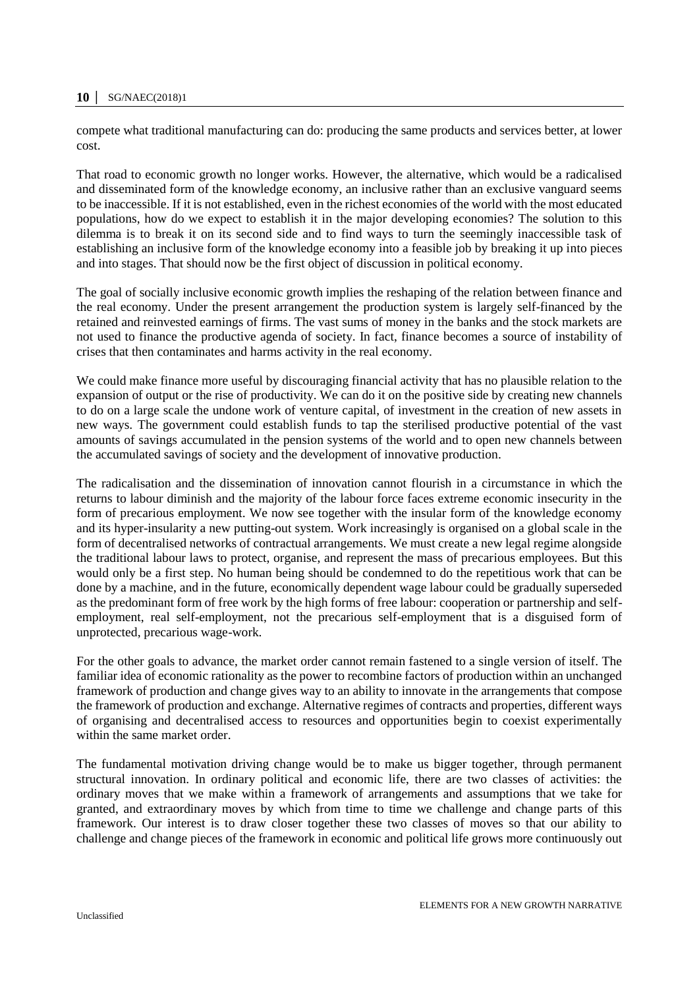#### **10 │** SG/NAEC(2018)1

compete what traditional manufacturing can do: producing the same products and services better, at lower cost.

That road to economic growth no longer works. However, the alternative, which would be a radicalised and disseminated form of the knowledge economy, an inclusive rather than an exclusive vanguard seems to be inaccessible. If it is not established, even in the richest economies of the world with the most educated populations, how do we expect to establish it in the major developing economies? The solution to this dilemma is to break it on its second side and to find ways to turn the seemingly inaccessible task of establishing an inclusive form of the knowledge economy into a feasible job by breaking it up into pieces and into stages. That should now be the first object of discussion in political economy.

The goal of socially inclusive economic growth implies the reshaping of the relation between finance and the real economy. Under the present arrangement the production system is largely self-financed by the retained and reinvested earnings of firms. The vast sums of money in the banks and the stock markets are not used to finance the productive agenda of society. In fact, finance becomes a source of instability of crises that then contaminates and harms activity in the real economy.

We could make finance more useful by discouraging financial activity that has no plausible relation to the expansion of output or the rise of productivity. We can do it on the positive side by creating new channels to do on a large scale the undone work of venture capital, of investment in the creation of new assets in new ways. The government could establish funds to tap the sterilised productive potential of the vast amounts of savings accumulated in the pension systems of the world and to open new channels between the accumulated savings of society and the development of innovative production.

The radicalisation and the dissemination of innovation cannot flourish in a circumstance in which the returns to labour diminish and the majority of the labour force faces extreme economic insecurity in the form of precarious employment. We now see together with the insular form of the knowledge economy and its hyper-insularity a new putting-out system. Work increasingly is organised on a global scale in the form of decentralised networks of contractual arrangements. We must create a new legal regime alongside the traditional labour laws to protect, organise, and represent the mass of precarious employees. But this would only be a first step. No human being should be condemned to do the repetitious work that can be done by a machine, and in the future, economically dependent wage labour could be gradually superseded as the predominant form of free work by the high forms of free labour: cooperation or partnership and selfemployment, real self-employment, not the precarious self-employment that is a disguised form of unprotected, precarious wage-work.

For the other goals to advance, the market order cannot remain fastened to a single version of itself. The familiar idea of economic rationality as the power to recombine factors of production within an unchanged framework of production and change gives way to an ability to innovate in the arrangements that compose the framework of production and exchange. Alternative regimes of contracts and properties, different ways of organising and decentralised access to resources and opportunities begin to coexist experimentally within the same market order.

The fundamental motivation driving change would be to make us bigger together, through permanent structural innovation. In ordinary political and economic life, there are two classes of activities: the ordinary moves that we make within a framework of arrangements and assumptions that we take for granted, and extraordinary moves by which from time to time we challenge and change parts of this framework. Our interest is to draw closer together these two classes of moves so that our ability to challenge and change pieces of the framework in economic and political life grows more continuously out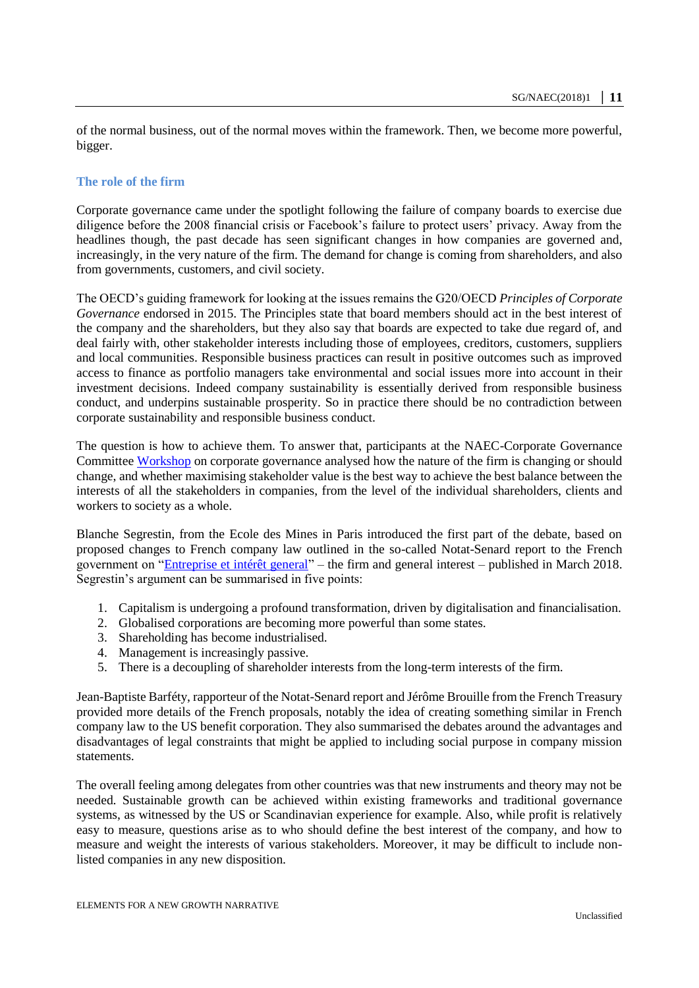of the normal business, out of the normal moves within the framework. Then, we become more powerful, bigger.

# <span id="page-10-0"></span>**The role of the firm**

Corporate governance came under the spotlight following the failure of company boards to exercise due diligence before the 2008 financial crisis or Facebook's failure to protect users' privacy. Away from the headlines though, the past decade has seen significant changes in how companies are governed and, increasingly, in the very nature of the firm. The demand for change is coming from shareholders, and also from governments, customers, and civil society.

The OECD's guiding framework for looking at the issues remains the G20/OECD *Principles of Corporate Governance* endorsed in 2015. The Principles state that board members should act in the best interest of the company and the shareholders, but they also say that boards are expected to take due regard of, and deal fairly with, other stakeholder interests including those of employees, creditors, customers, suppliers and local communities. Responsible business practices can result in positive outcomes such as improved access to finance as portfolio managers take environmental and social issues more into account in their investment decisions. Indeed company sustainability is essentially derived from responsible business conduct, and underpins sustainable prosperity. So in practice there should be no contradiction between corporate sustainability and responsible business conduct.

The question is how to achieve them. To answer that, participants at the NAEC-Corporate Governance Committee [Workshop](http://oecdtv.oecd.org/4567/or/NAEC-Corporate-Governance-Committee-seminar.html) on corporate governance analysed how the nature of the firm is changing or should change, and whether maximising stakeholder value is the best way to achieve the best balance between the interests of all the stakeholders in companies, from the level of the individual shareholders, clients and workers to society as a whole.

Blanche Segrestin, from the Ecole des Mines in Paris introduced the first part of the debate, based on proposed changes to French company law outlined in the so-called Notat-Senard report to the French government on ["Entreprise et intérêt general"](https://minefi.hosting.augure.com/Augure_Minefi/r/ContenuEnLigne/Download?id=FAA5CFBA-6EF5-4FDF-82D8-B46443BDB61B&filename=entreprise_objet_interet_collectif.pdf) – the firm and general interest – published in March 2018. Segrestin's argument can be summarised in five points:

- 1. Capitalism is undergoing a profound transformation, driven by digitalisation and financialisation.
- 2. Globalised corporations are becoming more powerful than some states.
- 3. Shareholding has become industrialised.
- 4. Management is increasingly passive.
- 5. There is a decoupling of shareholder interests from the long-term interests of the firm.

Jean-Baptiste Barféty, rapporteur of the Notat-Senard report and Jérôme Brouille from the French Treasury provided more details of the French proposals, notably the idea of creating something similar in French company law to the US benefit corporation. They also summarised the debates around the advantages and disadvantages of legal constraints that might be applied to including social purpose in company mission statements.

The overall feeling among delegates from other countries was that new instruments and theory may not be needed. Sustainable growth can be achieved within existing frameworks and traditional governance systems, as witnessed by the US or Scandinavian experience for example. Also, while profit is relatively easy to measure, questions arise as to who should define the best interest of the company, and how to measure and weight the interests of various stakeholders. Moreover, it may be difficult to include nonlisted companies in any new disposition.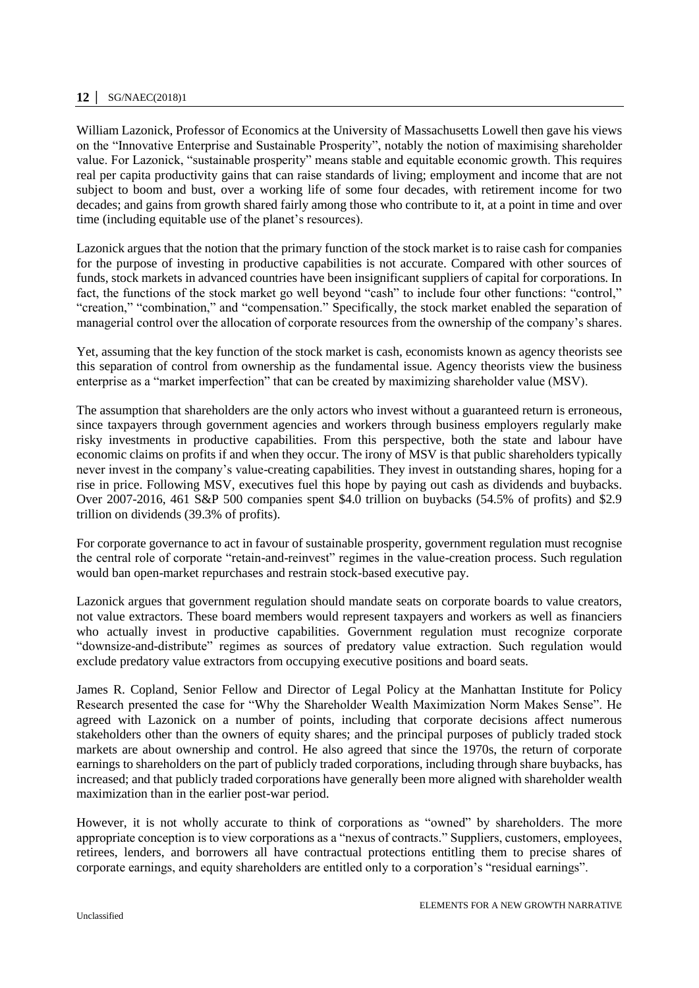### **12 │** SG/NAEC(2018)1

William Lazonick, Professor of Economics at the University of Massachusetts Lowell then gave his views on the "Innovative Enterprise and Sustainable Prosperity", notably the notion of maximising shareholder value. For Lazonick, "sustainable prosperity" means stable and equitable economic growth. This requires real per capita productivity gains that can raise standards of living; employment and income that are not subject to boom and bust, over a working life of some four decades, with retirement income for two decades; and gains from growth shared fairly among those who contribute to it, at a point in time and over time (including equitable use of the planet's resources).

Lazonick argues that the notion that the primary function of the stock market is to raise cash for companies for the purpose of investing in productive capabilities is not accurate. Compared with other sources of funds, stock markets in advanced countries have been insignificant suppliers of capital for corporations. In fact, the functions of the stock market go well beyond "cash" to include four other functions: "control," "creation," "combination," and "compensation." Specifically, the stock market enabled the separation of managerial control over the allocation of corporate resources from the ownership of the company's shares.

Yet, assuming that the key function of the stock market is cash, economists known as agency theorists see this separation of control from ownership as the fundamental issue. Agency theorists view the business enterprise as a "market imperfection" that can be created by maximizing shareholder value (MSV).

The assumption that shareholders are the only actors who invest without a guaranteed return is erroneous, since taxpayers through government agencies and workers through business employers regularly make risky investments in productive capabilities. From this perspective, both the state and labour have economic claims on profits if and when they occur. The irony of MSV is that public shareholders typically never invest in the company's value-creating capabilities. They invest in outstanding shares, hoping for a rise in price. Following MSV, executives fuel this hope by paying out cash as dividends and buybacks. Over 2007-2016, 461 S&P 500 companies spent \$4.0 trillion on buybacks (54.5% of profits) and \$2.9 trillion on dividends (39.3% of profits).

For corporate governance to act in favour of sustainable prosperity, government regulation must recognise the central role of corporate "retain-and-reinvest" regimes in the value-creation process. Such regulation would ban open-market repurchases and restrain stock-based executive pay.

Lazonick argues that government regulation should mandate seats on corporate boards to value creators, not value extractors. These board members would represent taxpayers and workers as well as financiers who actually invest in productive capabilities. Government regulation must recognize corporate "downsize-and-distribute" regimes as sources of predatory value extraction. Such regulation would exclude predatory value extractors from occupying executive positions and board seats.

James R. Copland, Senior Fellow and Director of Legal Policy at the Manhattan Institute for Policy Research presented the case for "Why the Shareholder Wealth Maximization Norm Makes Sense". He agreed with Lazonick on a number of points, including that corporate decisions affect numerous stakeholders other than the owners of equity shares; and the principal purposes of publicly traded stock markets are about ownership and control. He also agreed that since the 1970s, the return of corporate earnings to shareholders on the part of publicly traded corporations, including through share buybacks, has increased; and that publicly traded corporations have generally been more aligned with shareholder wealth maximization than in the earlier post-war period.

However, it is not wholly accurate to think of corporations as "owned" by shareholders. The more appropriate conception is to view corporations as a "nexus of contracts." Suppliers, customers, employees, retirees, lenders, and borrowers all have contractual protections entitling them to precise shares of corporate earnings, and equity shareholders are entitled only to a corporation's "residual earnings".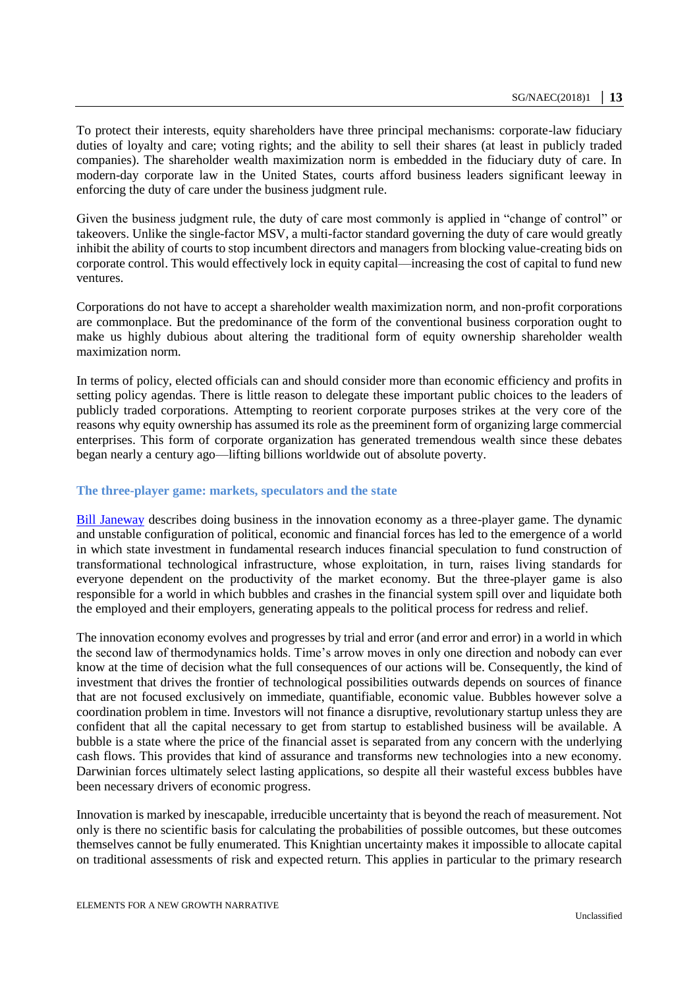To protect their interests, equity shareholders have three principal mechanisms: corporate-law fiduciary duties of loyalty and care; voting rights; and the ability to sell their shares (at least in publicly traded companies). The shareholder wealth maximization norm is embedded in the fiduciary duty of care. In modern-day corporate law in the United States, courts afford business leaders significant leeway in enforcing the duty of care under the business judgment rule.

Given the business judgment rule, the duty of care most commonly is applied in "change of control" or takeovers. Unlike the single-factor MSV, a multi-factor standard governing the duty of care would greatly inhibit the ability of courts to stop incumbent directors and managers from blocking value-creating bids on corporate control. This would effectively lock in equity capital—increasing the cost of capital to fund new ventures.

Corporations do not have to accept a shareholder wealth maximization norm, and non-profit corporations are commonplace. But the predominance of the form of the conventional business corporation ought to make us highly dubious about altering the traditional form of equity ownership shareholder wealth maximization norm.

In terms of policy, elected officials can and should consider more than economic efficiency and profits in setting policy agendas. There is little reason to delegate these important public choices to the leaders of publicly traded corporations. Attempting to reorient corporate purposes strikes at the very core of the reasons why equity ownership has assumed its role as the preeminent form of organizing large commercial enterprises. This form of corporate organization has generated tremendous wealth since these debates began nearly a century ago—lifting billions worldwide out of absolute poverty.

#### <span id="page-12-0"></span>**The three-player game: markets, speculators and the state**

[Bill Janeway](http://oecdtv.oecd.org/4701/or/NAEC-seminar-with-Bill-Janeway.html) describes doing business in the innovation economy as a three-player game. The dynamic and unstable configuration of political, economic and financial forces has led to the emergence of a world in which state investment in fundamental research induces financial speculation to fund construction of transformational technological infrastructure, whose exploitation, in turn, raises living standards for everyone dependent on the productivity of the market economy. But the three-player game is also responsible for a world in which bubbles and crashes in the financial system spill over and liquidate both the employed and their employers, generating appeals to the political process for redress and relief.

The innovation economy evolves and progresses by trial and error (and error and error) in a world in which the second law of thermodynamics holds. Time's arrow moves in only one direction and nobody can ever know at the time of decision what the full consequences of our actions will be. Consequently, the kind of investment that drives the frontier of technological possibilities outwards depends on sources of finance that are not focused exclusively on immediate, quantifiable, economic value. Bubbles however solve a coordination problem in time. Investors will not finance a disruptive, revolutionary startup unless they are confident that all the capital necessary to get from startup to established business will be available. A bubble is a state where the price of the financial asset is separated from any concern with the underlying cash flows. This provides that kind of assurance and transforms new technologies into a new economy. Darwinian forces ultimately select lasting applications, so despite all their wasteful excess bubbles have been necessary drivers of economic progress.

Innovation is marked by inescapable, irreducible uncertainty that is beyond the reach of measurement. Not only is there no scientific basis for calculating the probabilities of possible outcomes, but these outcomes themselves cannot be fully enumerated. This Knightian uncertainty makes it impossible to allocate capital on traditional assessments of risk and expected return. This applies in particular to the primary research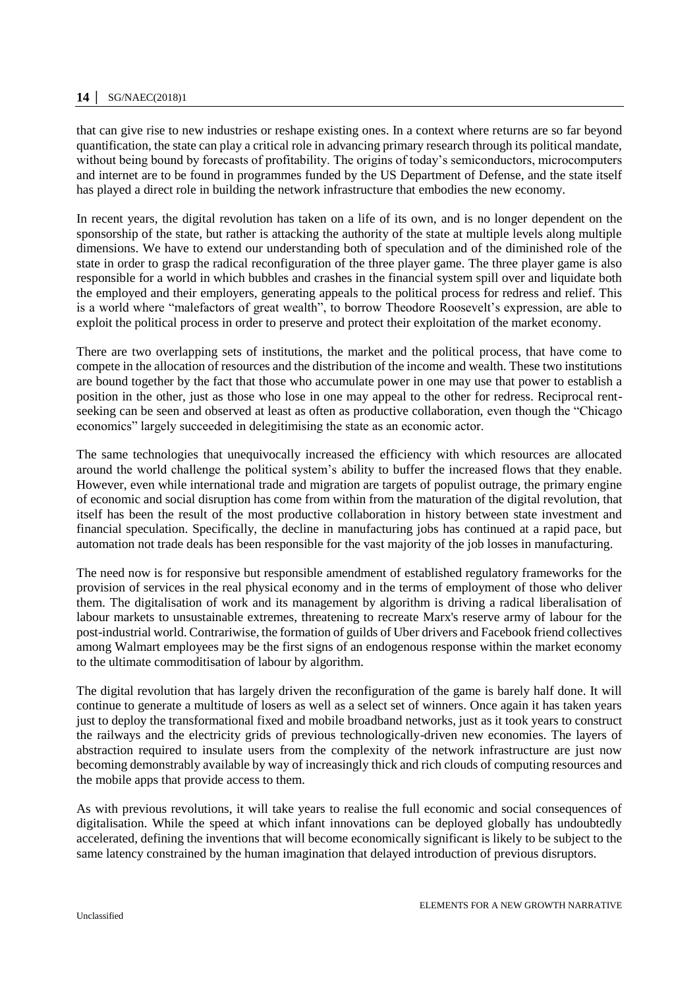that can give rise to new industries or reshape existing ones. In a context where returns are so far beyond quantification, the state can play a critical role in advancing primary research through its political mandate, without being bound by forecasts of profitability. The origins of today's semiconductors, microcomputers and internet are to be found in programmes funded by the US Department of Defense, and the state itself has played a direct role in building the network infrastructure that embodies the new economy.

In recent years, the digital revolution has taken on a life of its own, and is no longer dependent on the sponsorship of the state, but rather is attacking the authority of the state at multiple levels along multiple dimensions. We have to extend our understanding both of speculation and of the diminished role of the state in order to grasp the radical reconfiguration of the three player game. The three player game is also responsible for a world in which bubbles and crashes in the financial system spill over and liquidate both the employed and their employers, generating appeals to the political process for redress and relief. This is a world where "malefactors of great wealth", to borrow Theodore Roosevelt's expression, are able to exploit the political process in order to preserve and protect their exploitation of the market economy.

There are two overlapping sets of institutions, the market and the political process, that have come to compete in the allocation of resources and the distribution of the income and wealth. These two institutions are bound together by the fact that those who accumulate power in one may use that power to establish a position in the other, just as those who lose in one may appeal to the other for redress. Reciprocal rentseeking can be seen and observed at least as often as productive collaboration, even though the "Chicago economics" largely succeeded in delegitimising the state as an economic actor.

The same technologies that unequivocally increased the efficiency with which resources are allocated around the world challenge the political system's ability to buffer the increased flows that they enable. However, even while international trade and migration are targets of populist outrage, the primary engine of economic and social disruption has come from within from the maturation of the digital revolution, that itself has been the result of the most productive collaboration in history between state investment and financial speculation. Specifically, the decline in manufacturing jobs has continued at a rapid pace, but automation not trade deals has been responsible for the vast majority of the job losses in manufacturing.

The need now is for responsive but responsible amendment of established regulatory frameworks for the provision of services in the real physical economy and in the terms of employment of those who deliver them. The digitalisation of work and its management by algorithm is driving a radical liberalisation of labour markets to unsustainable extremes, threatening to recreate Marx's reserve army of labour for the post-industrial world. Contrariwise, the formation of guilds of Uber drivers and Facebook friend collectives among Walmart employees may be the first signs of an endogenous response within the market economy to the ultimate commoditisation of labour by algorithm.

The digital revolution that has largely driven the reconfiguration of the game is barely half done. It will continue to generate a multitude of losers as well as a select set of winners. Once again it has taken years just to deploy the transformational fixed and mobile broadband networks, just as it took years to construct the railways and the electricity grids of previous technologically-driven new economies. The layers of abstraction required to insulate users from the complexity of the network infrastructure are just now becoming demonstrably available by way of increasingly thick and rich clouds of computing resources and the mobile apps that provide access to them.

As with previous revolutions, it will take years to realise the full economic and social consequences of digitalisation. While the speed at which infant innovations can be deployed globally has undoubtedly accelerated, defining the inventions that will become economically significant is likely to be subject to the same latency constrained by the human imagination that delayed introduction of previous disruptors.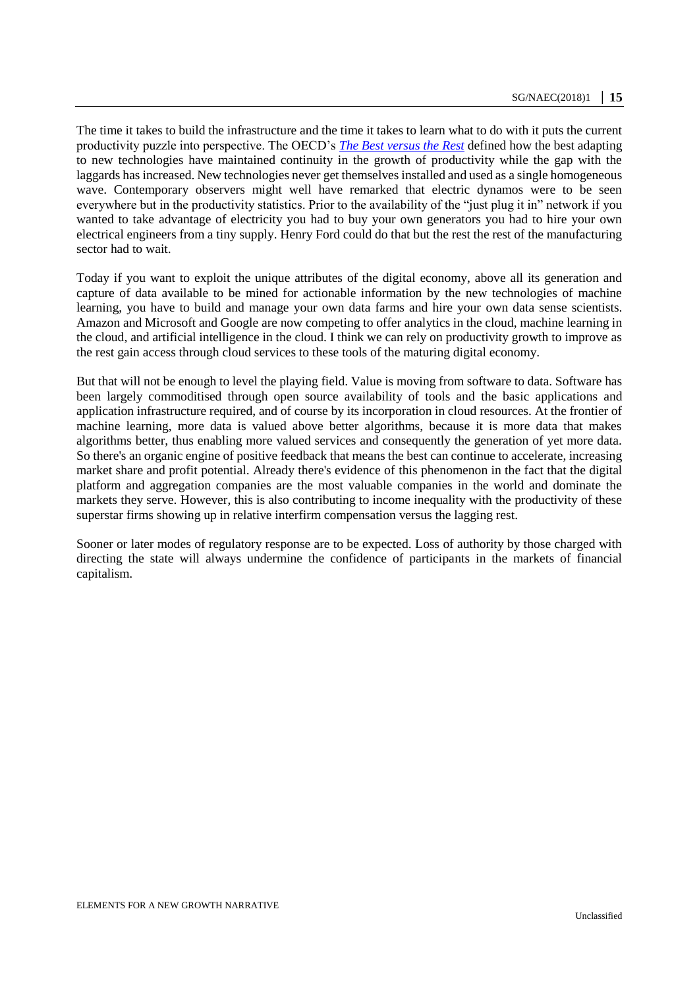The time it takes to build the infrastructure and the time it takes to learn what to do with it puts the current productivity puzzle into perspective. The OECD's *[The Best versus the Rest](https://www.oecd-ilibrary.org/economics/the-best-versus-the-rest_63629cc9-en)* defined how the best adapting to new technologies have maintained continuity in the growth of productivity while the gap with the laggards has increased. New technologies never get themselves installed and used as a single homogeneous wave. Contemporary observers might well have remarked that electric dynamos were to be seen everywhere but in the productivity statistics. Prior to the availability of the "just plug it in" network if you wanted to take advantage of electricity you had to buy your own generators you had to hire your own electrical engineers from a tiny supply. Henry Ford could do that but the rest the rest of the manufacturing sector had to wait.

Today if you want to exploit the unique attributes of the digital economy, above all its generation and capture of data available to be mined for actionable information by the new technologies of machine learning, you have to build and manage your own data farms and hire your own data sense scientists. Amazon and Microsoft and Google are now competing to offer analytics in the cloud, machine learning in the cloud, and artificial intelligence in the cloud. I think we can rely on productivity growth to improve as the rest gain access through cloud services to these tools of the maturing digital economy.

But that will not be enough to level the playing field. Value is moving from software to data. Software has been largely commoditised through open source availability of tools and the basic applications and application infrastructure required, and of course by its incorporation in cloud resources. At the frontier of machine learning, more data is valued above better algorithms, because it is more data that makes algorithms better, thus enabling more valued services and consequently the generation of yet more data. So there's an organic engine of positive feedback that means the best can continue to accelerate, increasing market share and profit potential. Already there's evidence of this phenomenon in the fact that the digital platform and aggregation companies are the most valuable companies in the world and dominate the markets they serve. However, this is also contributing to income inequality with the productivity of these superstar firms showing up in relative interfirm compensation versus the lagging rest.

Sooner or later modes of regulatory response are to be expected. Loss of authority by those charged with directing the state will always undermine the confidence of participants in the markets of financial capitalism.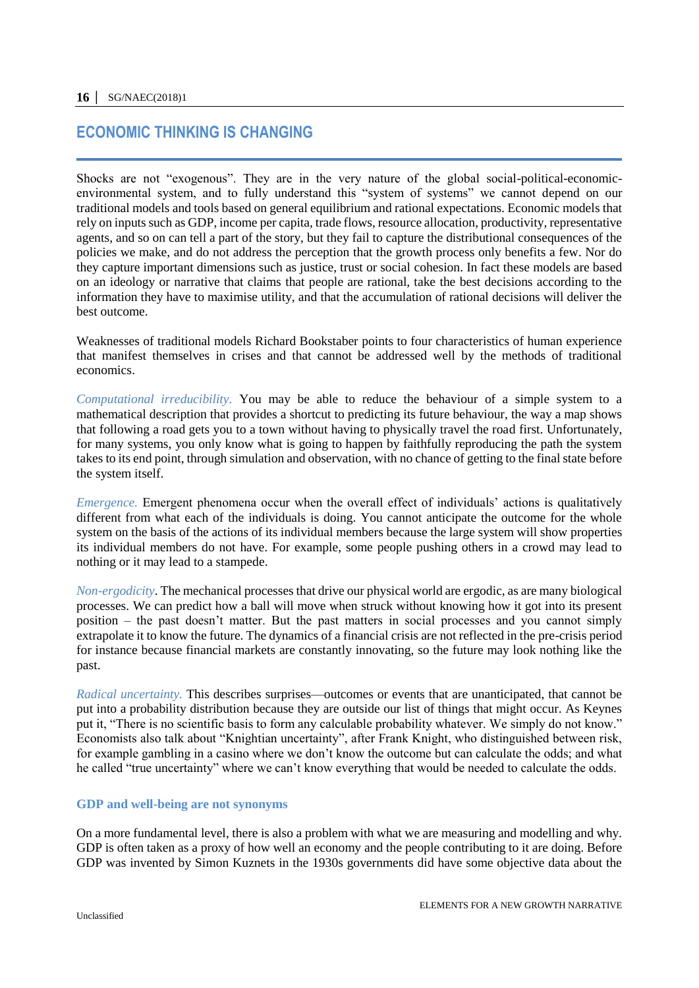# <span id="page-15-0"></span>**ECONOMIC THINKING IS CHANGING**

Shocks are not "exogenous". They are in the very nature of the global social-political-economicenvironmental system, and to fully understand this "system of systems" we cannot depend on our traditional models and tools based on general equilibrium and rational expectations. Economic models that rely on inputs such as GDP, income per capita, trade flows, resource allocation, productivity, representative agents, and so on can tell a part of the story, but they fail to capture the distributional consequences of the policies we make, and do not address the perception that the growth process only benefits a few. Nor do they capture important dimensions such as justice, trust or social cohesion. In fact these models are based on an ideology or narrative that claims that people are rational, take the best decisions according to the information they have to maximise utility, and that the accumulation of rational decisions will deliver the best outcome.

Weaknesses of traditional models Richard Bookstaber points to four characteristics of human experience that manifest themselves in crises and that cannot be addressed well by the methods of traditional economics.

*Computational irreducibility.* You may be able to reduce the behaviour of a simple system to a mathematical description that provides a shortcut to predicting its future behaviour, the way a map shows that following a road gets you to a town without having to physically travel the road first. Unfortunately, for many systems, you only know what is going to happen by faithfully reproducing the path the system takes to its end point, through simulation and observation, with no chance of getting to the final state before the system itself.

*Emergence.* Emergent phenomena occur when the overall effect of individuals' actions is qualitatively different from what each of the individuals is doing. You cannot anticipate the outcome for the whole system on the basis of the actions of its individual members because the large system will show properties its individual members do not have. For example, some people pushing others in a crowd may lead to nothing or it may lead to a stampede.

*Non-ergodicity*. The mechanical processes that drive our physical world are ergodic, as are many biological processes. We can predict how a ball will move when struck without knowing how it got into its present position – the past doesn't matter. But the past matters in social processes and you cannot simply extrapolate it to know the future. The dynamics of a financial crisis are not reflected in the pre-crisis period for instance because financial markets are constantly innovating, so the future may look nothing like the past.

*Radical uncertainty.* This describes surprises—outcomes or events that are unanticipated, that cannot be put into a probability distribution because they are outside our list of things that might occur. As Keynes put it, "There is no scientific basis to form any calculable probability whatever. We simply do not know." Economists also talk about "Knightian uncertainty", after Frank Knight, who distinguished between risk, for example gambling in a casino where we don't know the outcome but can calculate the odds; and what he called "true uncertainty" where we can't know everything that would be needed to calculate the odds.

#### <span id="page-15-1"></span>**GDP and well-being are not synonyms**

On a more fundamental level, there is also a problem with what we are measuring and modelling and why. GDP is often taken as a proxy of how well an economy and the people contributing to it are doing. Before GDP was invented by Simon Kuznets in the 1930s governments did have some objective data about the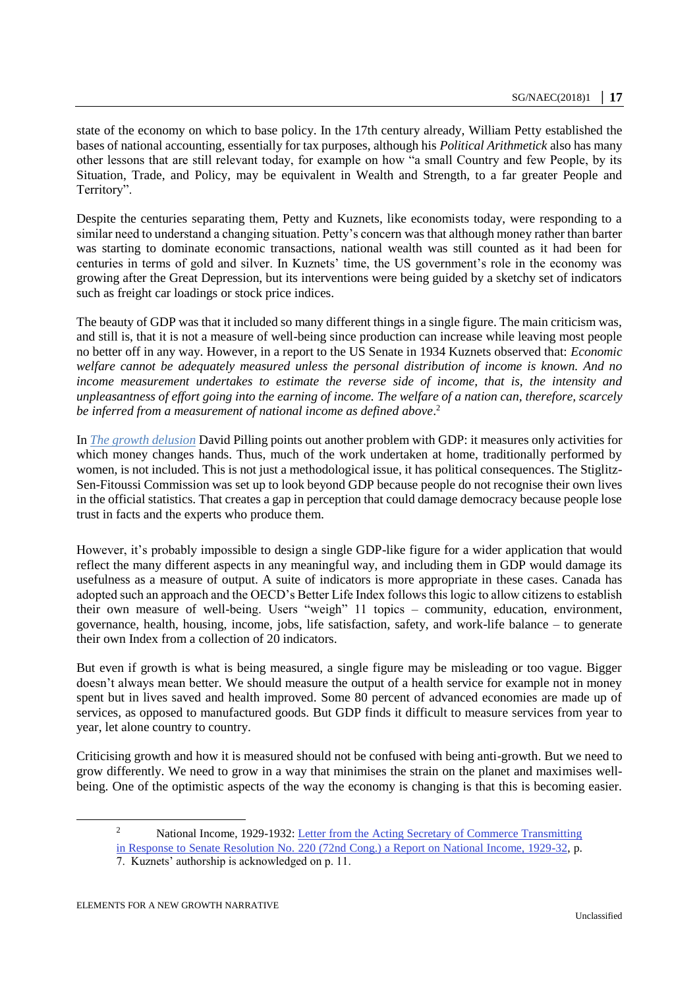state of the economy on which to base policy. In the 17th century already, William Petty established the bases of national accounting, essentially for tax purposes, although his *Political Arithmetick* also has many other lessons that are still relevant today, for example on how "a small Country and few People, by its Situation, Trade, and Policy, may be equivalent in Wealth and Strength, to a far greater People and Territory".

Despite the centuries separating them, Petty and Kuznets, like economists today, were responding to a similar need to understand a changing situation. Petty's concern was that although money rather than barter was starting to dominate economic transactions, national wealth was still counted as it had been for centuries in terms of gold and silver. In Kuznets' time, the US government's role in the economy was growing after the Great Depression, but its interventions were being guided by a sketchy set of indicators such as freight car loadings or stock price indices.

The beauty of GDP was that it included so many different things in a single figure. The main criticism was, and still is, that it is not a measure of well-being since production can increase while leaving most people no better off in any way. However, in a report to the US Senate in 1934 Kuznets observed that: *Economic welfare cannot be adequately measured unless the personal distribution of income is known. And no income measurement undertakes to estimate the reverse side of income, that is, the intensity and unpleasantness of effort going into the earning of income. The welfare of a nation can, therefore, scarcely be inferred from a measurement of national income as defined above*. 2

In *[The growth delusion](https://oecdtv.webtv-solution.com/4546/or/naec_seminar_with_david_pilling.htm)* David Pilling points out another problem with GDP: it measures only activities for which money changes hands. Thus, much of the work undertaken at home, traditionally performed by women, is not included. This is not just a methodological issue, it has political consequences. The Stiglitz-Sen-Fitoussi Commission was set up to look beyond GDP because people do not recognise their own lives in the official statistics. That creates a gap in perception that could damage democracy because people lose trust in facts and the experts who produce them.

However, it's probably impossible to design a single GDP-like figure for a wider application that would reflect the many different aspects in any meaningful way, and including them in GDP would damage its usefulness as a measure of output. A suite of indicators is more appropriate in these cases. Canada has adopted such an approach and the OECD's Better Life Index follows this logic to allow citizens to establish their own measure of well-being. Users "weigh" 11 topics – community, education, environment, governance, health, housing, income, jobs, life satisfaction, safety, and work-life balance – to generate their own Index from a collection of 20 indicators.

But even if growth is what is being measured, a single figure may be misleading or too vague. Bigger doesn't always mean better. We should measure the output of a health service for example not in money spent but in lives saved and health improved. Some 80 percent of advanced economies are made up of services, as opposed to manufactured goods. But GDP finds it difficult to measure services from year to year, let alone country to country.

Criticising growth and how it is measured should not be confused with being anti-growth. But we need to grow differently. We need to grow in a way that minimises the strain on the planet and maximises wellbeing. One of the optimistic aspects of the way the economy is changing is that this is becoming easier.

<sup>2</sup> National Income, 1929-1932: [Letter from the Acting Secretary of Commerce Transmitting](https://fraser.stlouisfed.org/scribd/?title_id=971&filepath=/files/docs/publications/natincome_1934/19340104_nationalinc.pdf) 

[in Response to Senate Resolution No. 220 \(72nd Cong.\) a Report on National Income, 1929-32,](https://fraser.stlouisfed.org/scribd/?title_id=971&filepath=/files/docs/publications/natincome_1934/19340104_nationalinc.pdf) p.

<sup>7.</sup> Kuznets' authorship is acknowledged on p. 11.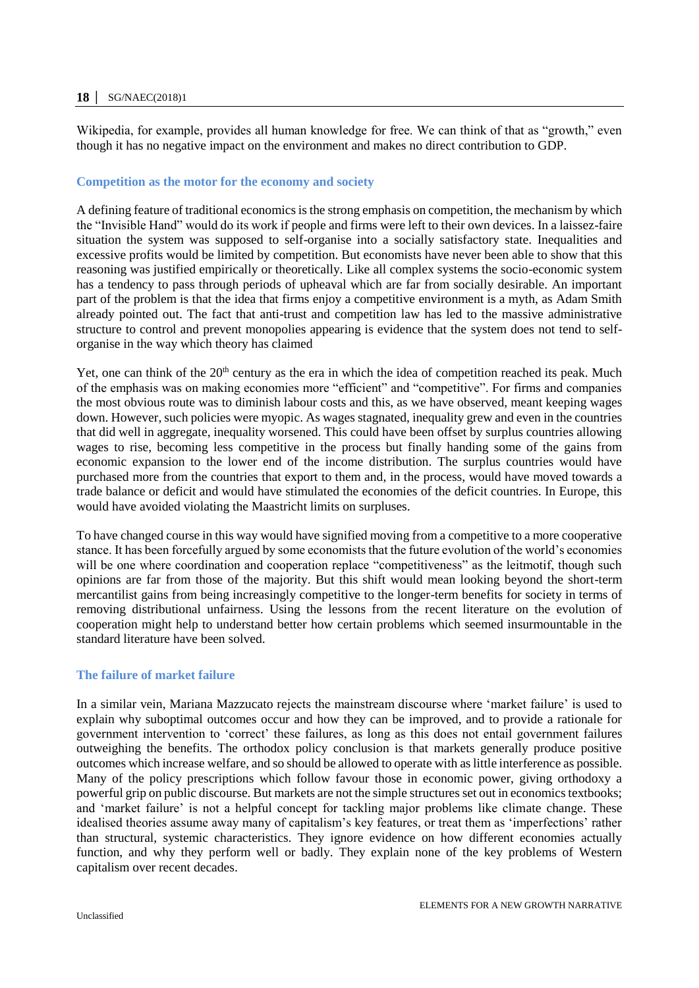Wikipedia, for example, provides all human knowledge for free. We can think of that as "growth," even though it has no negative impact on the environment and makes no direct contribution to GDP.

# <span id="page-17-0"></span>**Competition as the motor for the economy and society**

A defining feature of traditional economics is the strong emphasis on competition, the mechanism by which the "Invisible Hand" would do its work if people and firms were left to their own devices. In a laissez-faire situation the system was supposed to self-organise into a socially satisfactory state. Inequalities and excessive profits would be limited by competition. But economists have never been able to show that this reasoning was justified empirically or theoretically. Like all complex systems the socio-economic system has a tendency to pass through periods of upheaval which are far from socially desirable. An important part of the problem is that the idea that firms enjoy a competitive environment is a myth, as Adam Smith already pointed out. The fact that anti-trust and competition law has led to the massive administrative structure to control and prevent monopolies appearing is evidence that the system does not tend to selforganise in the way which theory has claimed

Yet, one can think of the  $20<sup>th</sup>$  century as the era in which the idea of competition reached its peak. Much of the emphasis was on making economies more "efficient" and "competitive". For firms and companies the most obvious route was to diminish labour costs and this, as we have observed, meant keeping wages down. However, such policies were myopic. As wages stagnated, inequality grew and even in the countries that did well in aggregate, inequality worsened. This could have been offset by surplus countries allowing wages to rise, becoming less competitive in the process but finally handing some of the gains from economic expansion to the lower end of the income distribution. The surplus countries would have purchased more from the countries that export to them and, in the process, would have moved towards a trade balance or deficit and would have stimulated the economies of the deficit countries. In Europe, this would have avoided violating the Maastricht limits on surpluses.

To have changed course in this way would have signified moving from a competitive to a more cooperative stance. It has been forcefully argued by some economists that the future evolution of the world's economies will be one where coordination and cooperation replace "competitiveness" as the leitmotif, though such opinions are far from those of the majority. But this shift would mean looking beyond the short-term mercantilist gains from being increasingly competitive to the longer-term benefits for society in terms of removing distributional unfairness. Using the lessons from the recent literature on the evolution of cooperation might help to understand better how certain problems which seemed insurmountable in the standard literature have been solved.

# <span id="page-17-1"></span>**The failure of market failure**

In a similar vein, Mariana Mazzucato rejects the mainstream discourse where 'market failure' is used to explain why suboptimal outcomes occur and how they can be improved, and to provide a rationale for government intervention to 'correct' these failures, as long as this does not entail government failures outweighing the benefits. The orthodox policy conclusion is that markets generally produce positive outcomes which increase welfare, and so should be allowed to operate with as little interference as possible. Many of the policy prescriptions which follow favour those in economic power, giving orthodoxy a powerful grip on public discourse. But markets are not the simple structures set out in economics textbooks; and 'market failure' is not a helpful concept for tackling major problems like climate change. These idealised theories assume away many of capitalism's key features, or treat them as 'imperfections' rather than structural, systemic characteristics. They ignore evidence on how different economies actually function, and why they perform well or badly. They explain none of the key problems of Western capitalism over recent decades.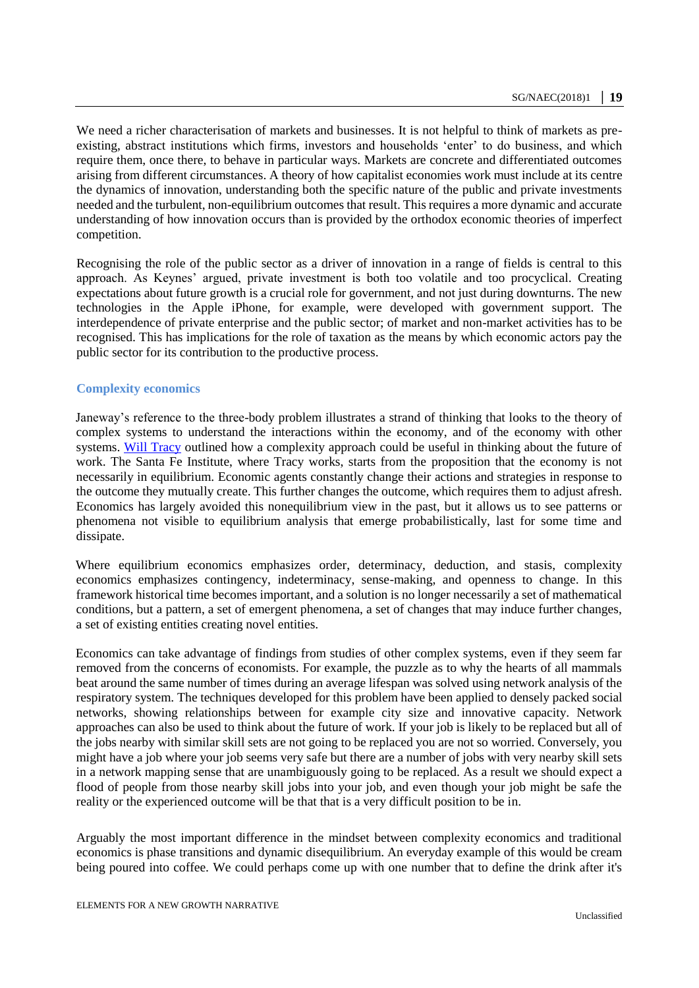We need a richer characterisation of markets and businesses. It is not helpful to think of markets as preexisting, abstract institutions which firms, investors and households 'enter' to do business, and which require them, once there, to behave in particular ways. Markets are concrete and differentiated outcomes arising from different circumstances. A theory of how capitalist economies work must include at its centre the dynamics of innovation, understanding both the specific nature of the public and private investments needed and the turbulent, non-equilibrium outcomes that result. This requires a more dynamic and accurate understanding of how innovation occurs than is provided by the orthodox economic theories of imperfect competition.

Recognising the role of the public sector as a driver of innovation in a range of fields is central to this approach. As Keynes' argued, private investment is both too volatile and too procyclical. Creating expectations about future growth is a crucial role for government, and not just during downturns. The new technologies in the Apple iPhone, for example, were developed with government support. The interdependence of private enterprise and the public sector; of market and non-market activities has to be recognised. This has implications for the role of taxation as the means by which economic actors pay the public sector for its contribution to the productive process.

#### <span id="page-18-0"></span>**Complexity economics**

Janeway's reference to the three-body problem illustrates a strand of thinking that looks to the theory of complex systems to understand the interactions within the economy, and of the economy with other systems. [Will Tracy](http://oecdtv.oecd.org/4562/or/NAEC-Seminar-with-Will-Tracy-AI-and-The-Future-Of-Work-A-Complexity-Perspective.html) outlined how a complexity approach could be useful in thinking about the future of work. The Santa Fe Institute, where Tracy works, starts from the proposition that the economy is not necessarily in equilibrium. Economic agents constantly change their actions and strategies in response to the outcome they mutually create. This further changes the outcome, which requires them to adjust afresh. Economics has largely avoided this nonequilibrium view in the past, but it allows us to see patterns or phenomena not visible to equilibrium analysis that emerge probabilistically, last for some time and dissipate.

Where equilibrium economics emphasizes order, determinacy, deduction, and stasis, complexity economics emphasizes contingency, indeterminacy, sense-making, and openness to change. In this framework historical time becomes important, and a solution is no longer necessarily a set of mathematical conditions, but a pattern, a set of emergent phenomena, a set of changes that may induce further changes, a set of existing entities creating novel entities.

Economics can take advantage of findings from studies of other complex systems, even if they seem far removed from the concerns of economists. For example, the puzzle as to why the hearts of all mammals beat around the same number of times during an average lifespan was solved using network analysis of the respiratory system. The techniques developed for this problem have been applied to densely packed social networks, showing relationships between for example city size and innovative capacity. Network approaches can also be used to think about the future of work. If your job is likely to be replaced but all of the jobs nearby with similar skill sets are not going to be replaced you are not so worried. Conversely, you might have a job where your job seems very safe but there are a number of jobs with very nearby skill sets in a network mapping sense that are unambiguously going to be replaced. As a result we should expect a flood of people from those nearby skill jobs into your job, and even though your job might be safe the reality or the experienced outcome will be that that is a very difficult position to be in.

Arguably the most important difference in the mindset between complexity economics and traditional economics is phase transitions and dynamic disequilibrium. An everyday example of this would be cream being poured into coffee. We could perhaps come up with one number that to define the drink after it's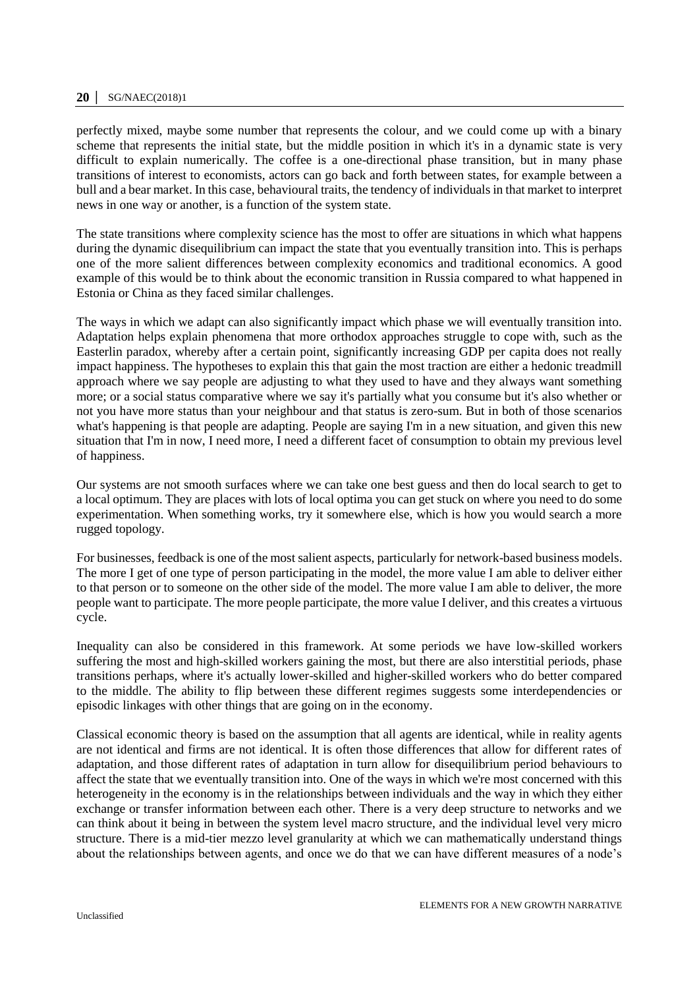perfectly mixed, maybe some number that represents the colour, and we could come up with a binary scheme that represents the initial state, but the middle position in which it's in a dynamic state is very difficult to explain numerically. The coffee is a one-directional phase transition, but in many phase transitions of interest to economists, actors can go back and forth between states, for example between a bull and a bear market. In this case, behavioural traits, the tendency of individuals in that market to interpret news in one way or another, is a function of the system state.

The state transitions where complexity science has the most to offer are situations in which what happens during the dynamic disequilibrium can impact the state that you eventually transition into. This is perhaps one of the more salient differences between complexity economics and traditional economics. A good example of this would be to think about the economic transition in Russia compared to what happened in Estonia or China as they faced similar challenges.

The ways in which we adapt can also significantly impact which phase we will eventually transition into. Adaptation helps explain phenomena that more orthodox approaches struggle to cope with, such as the Easterlin paradox, whereby after a certain point, significantly increasing GDP per capita does not really impact happiness. The hypotheses to explain this that gain the most traction are either a hedonic treadmill approach where we say people are adjusting to what they used to have and they always want something more; or a social status comparative where we say it's partially what you consume but it's also whether or not you have more status than your neighbour and that status is zero-sum. But in both of those scenarios what's happening is that people are adapting. People are saying I'm in a new situation, and given this new situation that I'm in now, I need more, I need a different facet of consumption to obtain my previous level of happiness.

Our systems are not smooth surfaces where we can take one best guess and then do local search to get to a local optimum. They are places with lots of local optima you can get stuck on where you need to do some experimentation. When something works, try it somewhere else, which is how you would search a more rugged topology.

For businesses, feedback is one of the most salient aspects, particularly for network-based business models. The more I get of one type of person participating in the model, the more value I am able to deliver either to that person or to someone on the other side of the model. The more value I am able to deliver, the more people want to participate. The more people participate, the more value I deliver, and this creates a virtuous cycle.

Inequality can also be considered in this framework. At some periods we have low-skilled workers suffering the most and high-skilled workers gaining the most, but there are also interstitial periods, phase transitions perhaps, where it's actually lower-skilled and higher-skilled workers who do better compared to the middle. The ability to flip between these different regimes suggests some interdependencies or episodic linkages with other things that are going on in the economy.

Classical economic theory is based on the assumption that all agents are identical, while in reality agents are not identical and firms are not identical. It is often those differences that allow for different rates of adaptation, and those different rates of adaptation in turn allow for disequilibrium period behaviours to affect the state that we eventually transition into. One of the ways in which we're most concerned with this heterogeneity in the economy is in the relationships between individuals and the way in which they either exchange or transfer information between each other. There is a very deep structure to networks and we can think about it being in between the system level macro structure, and the individual level very micro structure. There is a mid-tier mezzo level granularity at which we can mathematically understand things about the relationships between agents, and once we do that we can have different measures of a node's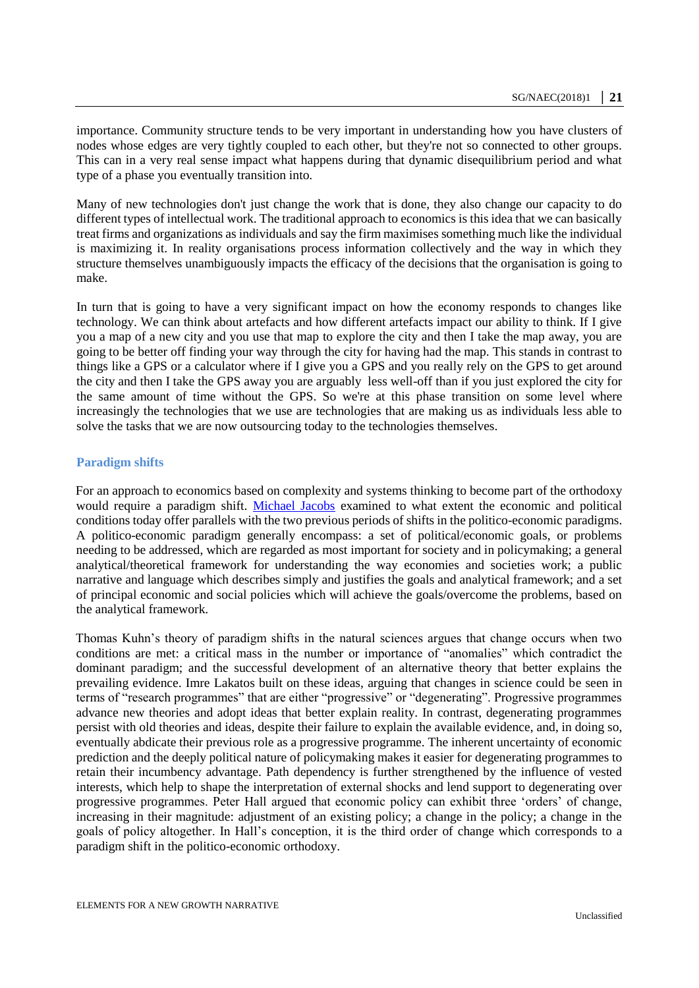importance. Community structure tends to be very important in understanding how you have clusters of nodes whose edges are very tightly coupled to each other, but they're not so connected to other groups. This can in a very real sense impact what happens during that dynamic disequilibrium period and what type of a phase you eventually transition into.

Many of new technologies don't just change the work that is done, they also change our capacity to do different types of intellectual work. The traditional approach to economics is this idea that we can basically treat firms and organizations as individuals and say the firm maximises something much like the individual is maximizing it. In reality organisations process information collectively and the way in which they structure themselves unambiguously impacts the efficacy of the decisions that the organisation is going to make.

In turn that is going to have a very significant impact on how the economy responds to changes like technology. We can think about artefacts and how different artefacts impact our ability to think. If I give you a map of a new city and you use that map to explore the city and then I take the map away, you are going to be better off finding your way through the city for having had the map. This stands in contrast to things like a GPS or a calculator where if I give you a GPS and you really rely on the GPS to get around the city and then I take the GPS away you are arguably less well-off than if you just explored the city for the same amount of time without the GPS. So we're at this phase transition on some level where increasingly the technologies that we use are technologies that are making us as individuals less able to solve the tasks that we are now outsourcing today to the technologies themselves.

# <span id="page-20-0"></span>**Paradigm shifts**

For an approach to economics based on complexity and systems thinking to become part of the orthodoxy would require a paradigm shift. [Michael Jacobs](http://oecdtv.oecd.org/4435/or/NAEC-seminar-with-Michael-Jacobs.html) examined to what extent the economic and political conditions today offer parallels with the two previous periods of shifts in the politico-economic paradigms. A politico-economic paradigm generally encompass: a set of political/economic goals, or problems needing to be addressed, which are regarded as most important for society and in policymaking; a general analytical/theoretical framework for understanding the way economies and societies work; a public narrative and language which describes simply and justifies the goals and analytical framework; and a set of principal economic and social policies which will achieve the goals/overcome the problems, based on the analytical framework.

Thomas Kuhn's theory of paradigm shifts in the natural sciences argues that change occurs when two conditions are met: a critical mass in the number or importance of "anomalies" which contradict the dominant paradigm; and the successful development of an alternative theory that better explains the prevailing evidence. Imre Lakatos built on these ideas, arguing that changes in science could be seen in terms of "research programmes" that are either "progressive" or "degenerating". Progressive programmes advance new theories and adopt ideas that better explain reality. In contrast, degenerating programmes persist with old theories and ideas, despite their failure to explain the available evidence, and, in doing so, eventually abdicate their previous role as a progressive programme. The inherent uncertainty of economic prediction and the deeply political nature of policymaking makes it easier for degenerating programmes to retain their incumbency advantage. Path dependency is further strengthened by the influence of vested interests, which help to shape the interpretation of external shocks and lend support to degenerating over progressive programmes. Peter Hall argued that economic policy can exhibit three 'orders' of change, increasing in their magnitude: adjustment of an existing policy; a change in the policy; a change in the goals of policy altogether. In Hall's conception, it is the third order of change which corresponds to a paradigm shift in the politico-economic orthodoxy.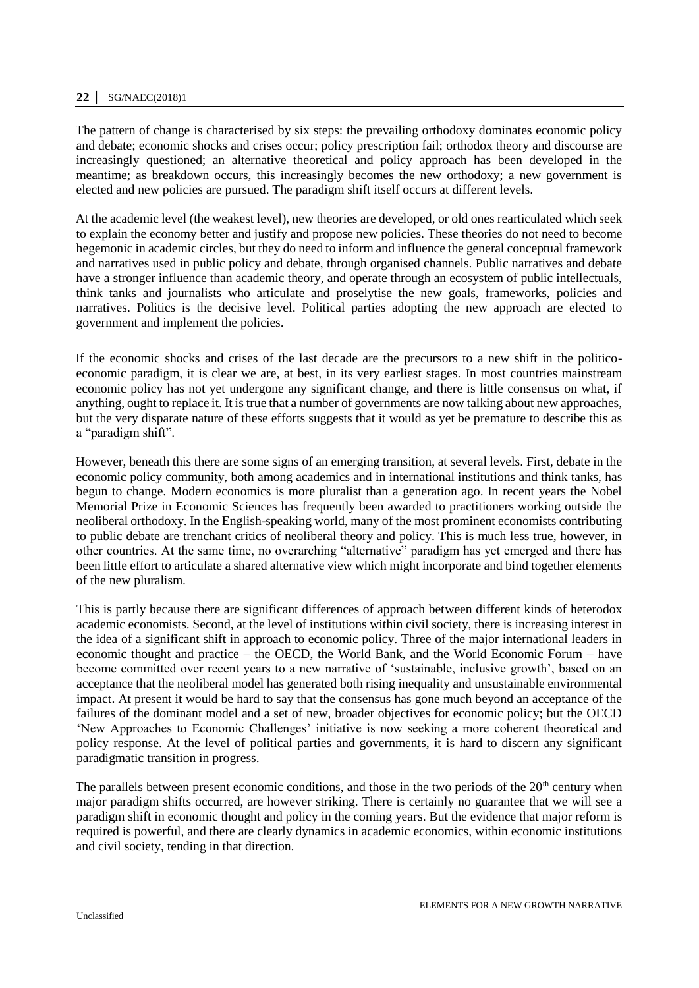#### **22 │** SG/NAEC(2018)1

The pattern of change is characterised by six steps: the prevailing orthodoxy dominates economic policy and debate; economic shocks and crises occur; policy prescription fail; orthodox theory and discourse are increasingly questioned; an alternative theoretical and policy approach has been developed in the meantime; as breakdown occurs, this increasingly becomes the new orthodoxy; a new government is elected and new policies are pursued. The paradigm shift itself occurs at different levels.

At the academic level (the weakest level), new theories are developed, or old ones rearticulated which seek to explain the economy better and justify and propose new policies. These theories do not need to become hegemonic in academic circles, but they do need to inform and influence the general conceptual framework and narratives used in public policy and debate, through organised channels. Public narratives and debate have a stronger influence than academic theory, and operate through an ecosystem of public intellectuals, think tanks and journalists who articulate and proselytise the new goals, frameworks, policies and narratives. Politics is the decisive level. Political parties adopting the new approach are elected to government and implement the policies.

If the economic shocks and crises of the last decade are the precursors to a new shift in the politicoeconomic paradigm, it is clear we are, at best, in its very earliest stages. In most countries mainstream economic policy has not yet undergone any significant change, and there is little consensus on what, if anything, ought to replace it. It is true that a number of governments are now talking about new approaches, but the very disparate nature of these efforts suggests that it would as yet be premature to describe this as a "paradigm shift".

However, beneath this there are some signs of an emerging transition, at several levels. First, debate in the economic policy community, both among academics and in international institutions and think tanks, has begun to change. Modern economics is more pluralist than a generation ago. In recent years the Nobel Memorial Prize in Economic Sciences has frequently been awarded to practitioners working outside the neoliberal orthodoxy. In the English-speaking world, many of the most prominent economists contributing to public debate are trenchant critics of neoliberal theory and policy. This is much less true, however, in other countries. At the same time, no overarching "alternative" paradigm has yet emerged and there has been little effort to articulate a shared alternative view which might incorporate and bind together elements of the new pluralism.

This is partly because there are significant differences of approach between different kinds of heterodox academic economists. Second, at the level of institutions within civil society, there is increasing interest in the idea of a significant shift in approach to economic policy. Three of the major international leaders in economic thought and practice – the OECD, the World Bank, and the World Economic Forum – have become committed over recent years to a new narrative of 'sustainable, inclusive growth', based on an acceptance that the neoliberal model has generated both rising inequality and unsustainable environmental impact. At present it would be hard to say that the consensus has gone much beyond an acceptance of the failures of the dominant model and a set of new, broader objectives for economic policy; but the OECD 'New Approaches to Economic Challenges' initiative is now seeking a more coherent theoretical and policy response. At the level of political parties and governments, it is hard to discern any significant paradigmatic transition in progress.

The parallels between present economic conditions, and those in the two periods of the 20<sup>th</sup> century when major paradigm shifts occurred, are however striking. There is certainly no guarantee that we will see a paradigm shift in economic thought and policy in the coming years. But the evidence that major reform is required is powerful, and there are clearly dynamics in academic economics, within economic institutions and civil society, tending in that direction.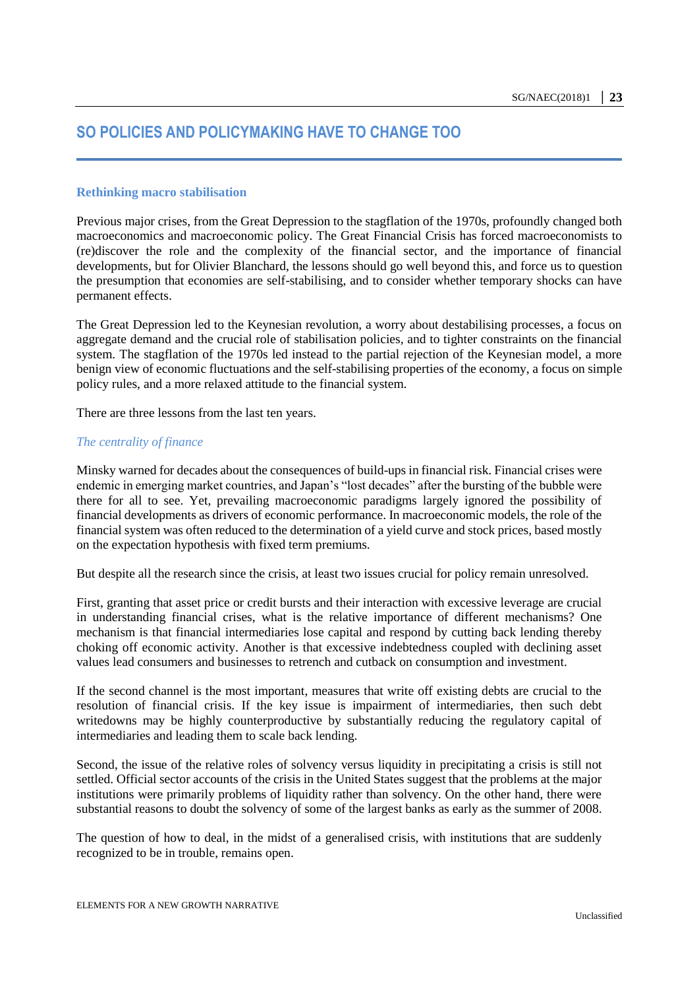# <span id="page-22-0"></span>**SO POLICIES AND POLICYMAKING HAVE TO CHANGE TOO**

#### <span id="page-22-1"></span>**[Rethinking macro stabilisation](https://oecdtv.webtv-solution.com/4828/or/naec_seminar_with_olivier_blanchard.html)**

Previous major crises, from the Great Depression to the stagflation of the 1970s, profoundly changed both macroeconomics and macroeconomic policy. The Great Financial Crisis has forced macroeconomists to (re)discover the role and the complexity of the financial sector, and the importance of financial developments, but for Olivier Blanchard, the lessons should go well beyond this, and force us to question the presumption that economies are self-stabilising, and to consider whether temporary shocks can have permanent effects.

The Great Depression led to the Keynesian revolution, a worry about destabilising processes, a focus on aggregate demand and the crucial role of stabilisation policies, and to tighter constraints on the financial system. The stagflation of the 1970s led instead to the partial rejection of the Keynesian model, a more benign view of economic fluctuations and the self-stabilising properties of the economy, a focus on simple policy rules, and a more relaxed attitude to the financial system.

There are three lessons from the last ten years.

### *The centrality of finance*

Minsky warned for decades about the consequences of build-ups in financial risk. Financial crises were endemic in emerging market countries, and Japan's "lost decades" after the bursting of the bubble were there for all to see. Yet, prevailing macroeconomic paradigms largely ignored the possibility of financial developments as drivers of economic performance. In macroeconomic models, the role of the financial system was often reduced to the determination of a yield curve and stock prices, based mostly on the expectation hypothesis with fixed term premiums.

But despite all the research since the crisis, at least two issues crucial for policy remain unresolved.

First, granting that asset price or credit bursts and their interaction with excessive leverage are crucial in understanding financial crises, what is the relative importance of different mechanisms? One mechanism is that financial intermediaries lose capital and respond by cutting back lending thereby choking off economic activity. Another is that excessive indebtedness coupled with declining asset values lead consumers and businesses to retrench and cutback on consumption and investment.

If the second channel is the most important, measures that write off existing debts are crucial to the resolution of financial crisis. If the key issue is impairment of intermediaries, then such debt writedowns may be highly counterproductive by substantially reducing the regulatory capital of intermediaries and leading them to scale back lending.

Second, the issue of the relative roles of solvency versus liquidity in precipitating a crisis is still not settled. Official sector accounts of the crisis in the United States suggest that the problems at the major institutions were primarily problems of liquidity rather than solvency. On the other hand, there were substantial reasons to doubt the solvency of some of the largest banks as early as the summer of 2008.

The question of how to deal, in the midst of a generalised crisis, with institutions that are suddenly recognized to be in trouble, remains open.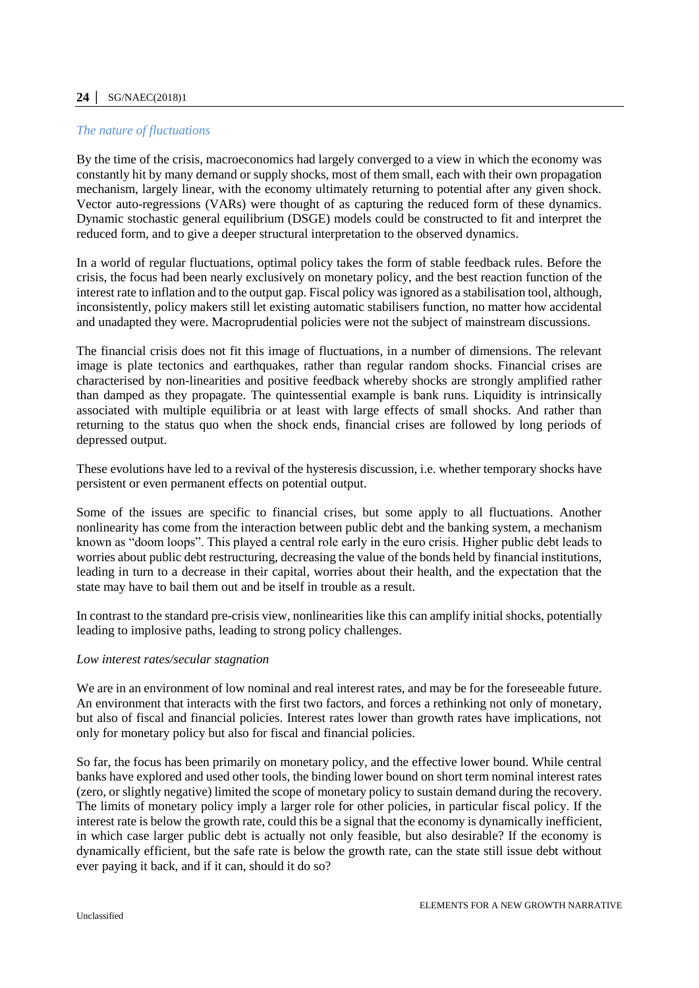# **24 │** SG/NAEC(2018)1

# *The nature of fluctuations*

By the time of the crisis, macroeconomics had largely converged to a view in which the economy was constantly hit by many demand or supply shocks, most of them small, each with their own propagation mechanism, largely linear, with the economy ultimately returning to potential after any given shock. Vector auto-regressions (VARs) were thought of as capturing the reduced form of these dynamics. Dynamic stochastic general equilibrium (DSGE) models could be constructed to fit and interpret the reduced form, and to give a deeper structural interpretation to the observed dynamics.

In a world of regular fluctuations, optimal policy takes the form of stable feedback rules. Before the crisis, the focus had been nearly exclusively on monetary policy, and the best reaction function of the interest rate to inflation and to the output gap. Fiscal policy was ignored as a stabilisation tool, although, inconsistently, policy makers still let existing automatic stabilisers function, no matter how accidental and unadapted they were. Macroprudential policies were not the subject of mainstream discussions.

The financial crisis does not fit this image of fluctuations, in a number of dimensions. The relevant image is plate tectonics and earthquakes, rather than regular random shocks. Financial crises are characterised by non-linearities and positive feedback whereby shocks are strongly amplified rather than damped as they propagate. The quintessential example is bank runs. Liquidity is intrinsically associated with multiple equilibria or at least with large effects of small shocks. And rather than returning to the status quo when the shock ends, financial crises are followed by long periods of depressed output.

These evolutions have led to a revival of the hysteresis discussion, i.e. whether temporary shocks have persistent or even permanent effects on potential output.

Some of the issues are specific to financial crises, but some apply to all fluctuations. Another nonlinearity has come from the interaction between public debt and the banking system, a mechanism known as "doom loops". This played a central role early in the euro crisis. Higher public debt leads to worries about public debt restructuring, decreasing the value of the bonds held by financial institutions, leading in turn to a decrease in their capital, worries about their health, and the expectation that the state may have to bail them out and be itself in trouble as a result.

In contrast to the standard pre-crisis view, nonlinearities like this can amplify initial shocks, potentially leading to implosive paths, leading to strong policy challenges.

# *Low interest rates/secular stagnation*

We are in an environment of low nominal and real interest rates, and may be for the foreseeable future. An environment that interacts with the first two factors, and forces a rethinking not only of monetary, but also of fiscal and financial policies. Interest rates lower than growth rates have implications, not only for monetary policy but also for fiscal and financial policies.

So far, the focus has been primarily on monetary policy, and the effective lower bound. While central banks have explored and used other tools, the binding lower bound on short term nominal interest rates (zero, or slightly negative) limited the scope of monetary policy to sustain demand during the recovery. The limits of monetary policy imply a larger role for other policies, in particular fiscal policy. If the interest rate is below the growth rate, could this be a signal that the economy is dynamically inefficient, in which case larger public debt is actually not only feasible, but also desirable? If the economy is dynamically efficient, but the safe rate is below the growth rate, can the state still issue debt without ever paying it back, and if it can, should it do so?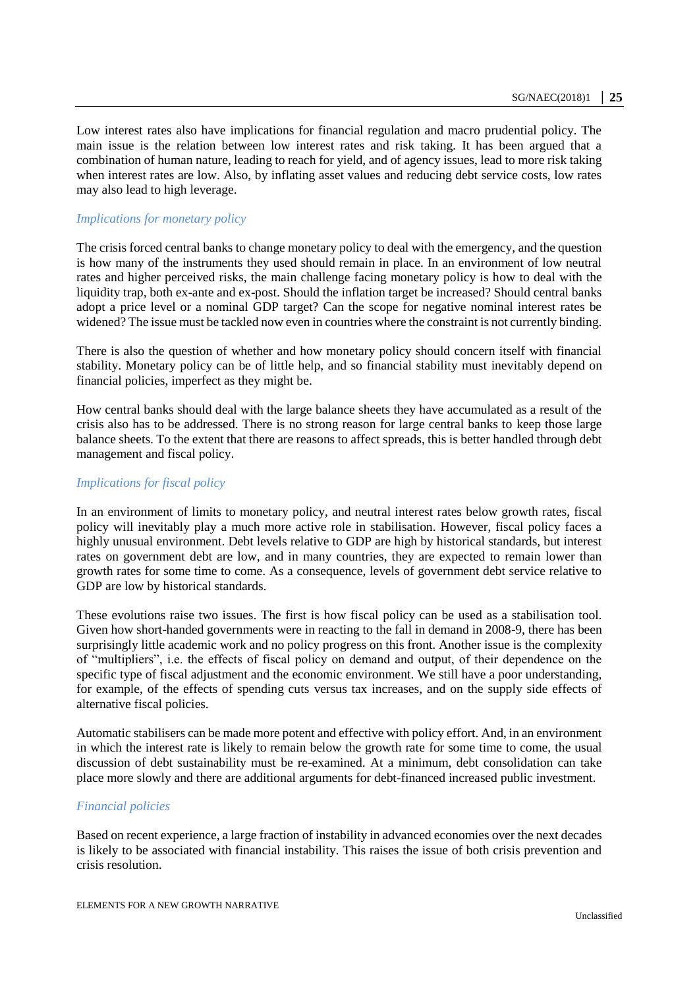Low interest rates also have implications for financial regulation and macro prudential policy. The main issue is the relation between low interest rates and risk taking. It has been argued that a combination of human nature, leading to reach for yield, and of agency issues, lead to more risk taking when interest rates are low. Also, by inflating asset values and reducing debt service costs, low rates may also lead to high leverage.

### *Implications for monetary policy*

The crisis forced central banks to change monetary policy to deal with the emergency, and the question is how many of the instruments they used should remain in place. In an environment of low neutral rates and higher perceived risks, the main challenge facing monetary policy is how to deal with the liquidity trap, both ex-ante and ex-post. Should the inflation target be increased? Should central banks adopt a price level or a nominal GDP target? Can the scope for negative nominal interest rates be widened? The issue must be tackled now even in countries where the constraint is not currently binding.

There is also the question of whether and how monetary policy should concern itself with financial stability. Monetary policy can be of little help, and so financial stability must inevitably depend on financial policies, imperfect as they might be.

How central banks should deal with the large balance sheets they have accumulated as a result of the crisis also has to be addressed. There is no strong reason for large central banks to keep those large balance sheets. To the extent that there are reasons to affect spreads, this is better handled through debt management and fiscal policy.

#### *Implications for fiscal policy*

In an environment of limits to monetary policy, and neutral interest rates below growth rates, fiscal policy will inevitably play a much more active role in stabilisation. However, fiscal policy faces a highly unusual environment. Debt levels relative to GDP are high by historical standards, but interest rates on government debt are low, and in many countries, they are expected to remain lower than growth rates for some time to come. As a consequence, levels of government debt service relative to GDP are low by historical standards.

These evolutions raise two issues. The first is how fiscal policy can be used as a stabilisation tool. Given how short-handed governments were in reacting to the fall in demand in 2008-9, there has been surprisingly little academic work and no policy progress on this front. Another issue is the complexity of "multipliers", i.e. the effects of fiscal policy on demand and output, of their dependence on the specific type of fiscal adjustment and the economic environment. We still have a poor understanding, for example, of the effects of spending cuts versus tax increases, and on the supply side effects of alternative fiscal policies.

Automatic stabilisers can be made more potent and effective with policy effort. And, in an environment in which the interest rate is likely to remain below the growth rate for some time to come, the usual discussion of debt sustainability must be re-examined. At a minimum, debt consolidation can take place more slowly and there are additional arguments for debt-financed increased public investment.

#### *Financial policies*

Based on recent experience, a large fraction of instability in advanced economies over the next decades is likely to be associated with financial instability. This raises the issue of both crisis prevention and crisis resolution.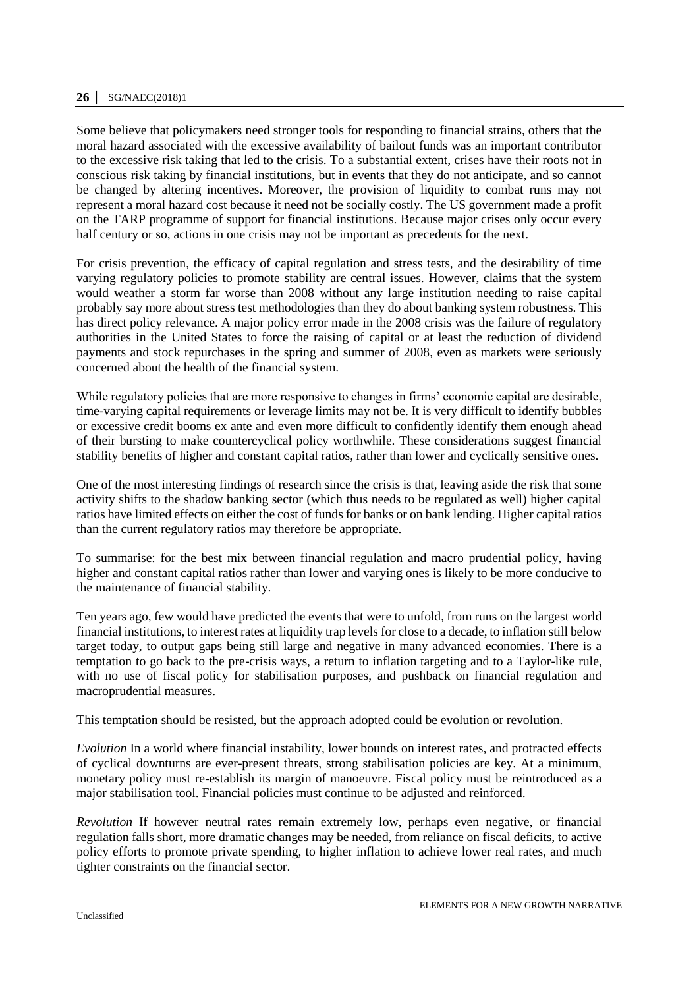#### **26 │** SG/NAEC(2018)1

Some believe that policymakers need stronger tools for responding to financial strains, others that the moral hazard associated with the excessive availability of bailout funds was an important contributor to the excessive risk taking that led to the crisis. To a substantial extent, crises have their roots not in conscious risk taking by financial institutions, but in events that they do not anticipate, and so cannot be changed by altering incentives. Moreover, the provision of liquidity to combat runs may not represent a moral hazard cost because it need not be socially costly. The US government made a profit on the TARP programme of support for financial institutions. Because major crises only occur every half century or so, actions in one crisis may not be important as precedents for the next.

For crisis prevention, the efficacy of capital regulation and stress tests, and the desirability of time varying regulatory policies to promote stability are central issues. However, claims that the system would weather a storm far worse than 2008 without any large institution needing to raise capital probably say more about stress test methodologies than they do about banking system robustness. This has direct policy relevance. A major policy error made in the 2008 crisis was the failure of regulatory authorities in the United States to force the raising of capital or at least the reduction of dividend payments and stock repurchases in the spring and summer of 2008, even as markets were seriously concerned about the health of the financial system.

While regulatory policies that are more responsive to changes in firms' economic capital are desirable, time-varying capital requirements or leverage limits may not be. It is very difficult to identify bubbles or excessive credit booms ex ante and even more difficult to confidently identify them enough ahead of their bursting to make countercyclical policy worthwhile. These considerations suggest financial stability benefits of higher and constant capital ratios, rather than lower and cyclically sensitive ones.

One of the most interesting findings of research since the crisis is that, leaving aside the risk that some activity shifts to the shadow banking sector (which thus needs to be regulated as well) higher capital ratios have limited effects on either the cost of funds for banks or on bank lending. Higher capital ratios than the current regulatory ratios may therefore be appropriate.

To summarise: for the best mix between financial regulation and macro prudential policy, having higher and constant capital ratios rather than lower and varying ones is likely to be more conducive to the maintenance of financial stability.

Ten years ago, few would have predicted the events that were to unfold, from runs on the largest world financial institutions, to interest rates at liquidity trap levels for close to a decade, to inflation still below target today, to output gaps being still large and negative in many advanced economies. There is a temptation to go back to the pre-crisis ways, a return to inflation targeting and to a Taylor-like rule, with no use of fiscal policy for stabilisation purposes, and pushback on financial regulation and macroprudential measures.

This temptation should be resisted, but the approach adopted could be evolution or revolution.

*Evolution* In a world where financial instability, lower bounds on interest rates, and protracted effects of cyclical downturns are ever-present threats, strong stabilisation policies are key. At a minimum, monetary policy must re-establish its margin of manoeuvre. Fiscal policy must be reintroduced as a major stabilisation tool. Financial policies must continue to be adjusted and reinforced.

*Revolution* If however neutral rates remain extremely low, perhaps even negative, or financial regulation falls short, more dramatic changes may be needed, from reliance on fiscal deficits, to active policy efforts to promote private spending, to higher inflation to achieve lower real rates, and much tighter constraints on the financial sector.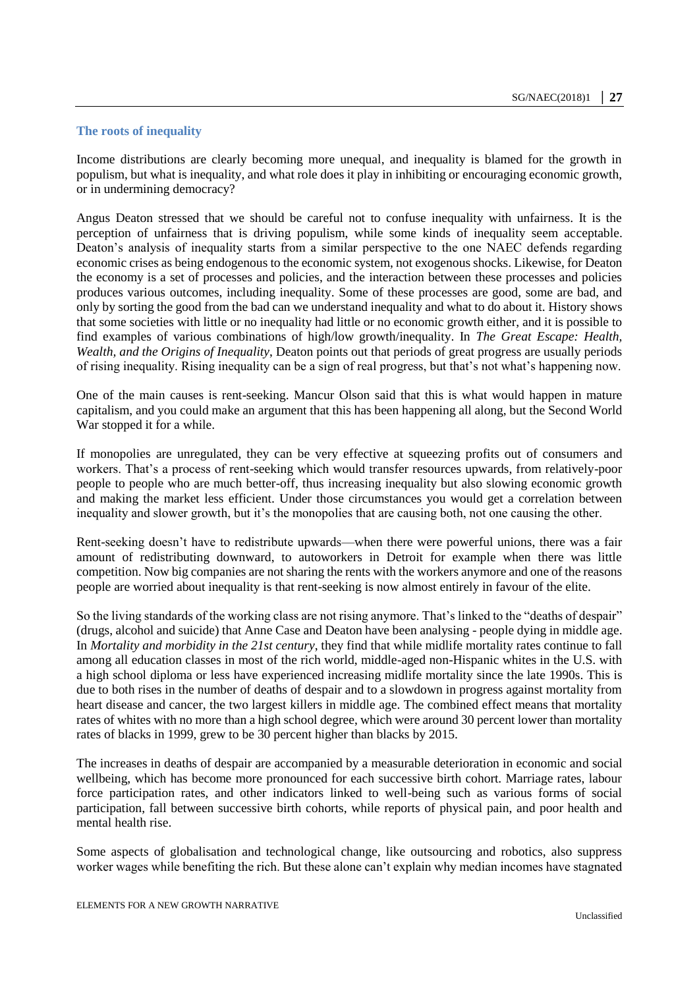#### <span id="page-26-0"></span>**[The roots of inequality](https://oecdtv.webtv-solution.com/4749/or/naec_seminar_with_angus_deaton.html)**

Income distributions are clearly becoming more unequal, and inequality is blamed for the growth in populism, but what is inequality, and what role does it play in inhibiting or encouraging economic growth, or in undermining democracy?

Angus Deaton stressed that we should be careful not to confuse inequality with unfairness. It is the perception of unfairness that is driving populism, while some kinds of inequality seem acceptable. Deaton's analysis of inequality starts from a similar perspective to the one NAEC defends regarding economic crises as being endogenous to the economic system, not exogenous shocks. Likewise, for Deaton the economy is a set of processes and policies, and the interaction between these processes and policies produces various outcomes, including inequality. Some of these processes are good, some are bad, and only by sorting the good from the bad can we understand inequality and what to do about it. History shows that some societies with little or no inequality had little or no economic growth either, and it is possible to find examples of various combinations of high/low growth/inequality. In *The Great Escape: Health, Wealth, and the Origins of Inequality*, Deaton points out that periods of great progress are usually periods of rising inequality. Rising inequality can be a sign of real progress, but that's not what's happening now.

One of the main causes is rent-seeking. Mancur Olson said that this is what would happen in mature capitalism, and you could make an argument that this has been happening all along, but the Second World War stopped it for a while.

If monopolies are unregulated, they can be very effective at squeezing profits out of consumers and workers. That's a process of rent-seeking which would transfer resources upwards, from relatively-poor people to people who are much better-off, thus increasing inequality but also slowing economic growth and making the market less efficient. Under those circumstances you would get a correlation between inequality and slower growth, but it's the monopolies that are causing both, not one causing the other.

Rent-seeking doesn't have to redistribute upwards—when there were powerful unions, there was a fair amount of redistributing downward, to autoworkers in Detroit for example when there was little competition. Now big companies are not sharing the rents with the workers anymore and one of the reasons people are worried about inequality is that rent-seeking is now almost entirely in favour of the elite.

So the living standards of the working class are not rising anymore. That's linked to the "deaths of despair" (drugs, alcohol and suicide) that Anne Case and Deaton have been analysing - people dying in middle age. In *Mortality and morbidity in the 21st century*, they find that while midlife mortality rates continue to fall among all education classes in most of the rich world, middle-aged non-Hispanic whites in the U.S. with a high school diploma or less have experienced increasing midlife mortality since the late 1990s. This is due to both rises in the number of deaths of despair and to a slowdown in progress against mortality from heart disease and cancer, the two largest killers in middle age. The combined effect means that mortality rates of whites with no more than a high school degree, which were around 30 percent lower than mortality rates of blacks in 1999, grew to be 30 percent higher than blacks by 2015.

The increases in deaths of despair are accompanied by a measurable deterioration in economic and social wellbeing, which has become more pronounced for each successive birth cohort. Marriage rates, labour force participation rates, and other indicators linked to well-being such as various forms of social participation, fall between successive birth cohorts, while reports of physical pain, and poor health and mental health rise.

Some aspects of globalisation and technological change, like outsourcing and robotics, also suppress worker wages while benefiting the rich. But these alone can't explain why median incomes have stagnated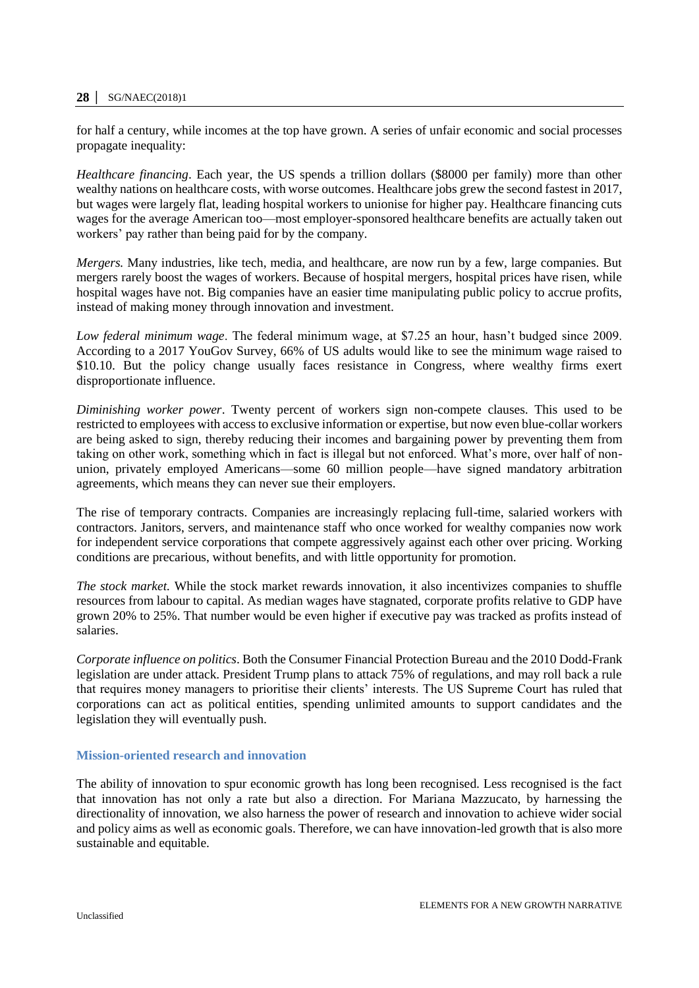for half a century, while incomes at the top have grown. A series of unfair economic and social processes propagate inequality:

*Healthcare financing*. Each year, the US spends a trillion dollars (\$8000 per family) more than other wealthy nations on healthcare costs, with worse outcomes. Healthcare jobs grew the second fastest in 2017, but wages were largely flat, leading hospital workers to unionise for higher pay. Healthcare financing cuts wages for the average American too—most employer-sponsored healthcare benefits are actually taken out workers' pay rather than being paid for by the company.

*Mergers.* Many industries, like tech, media, and healthcare, are now run by a few, large companies. But mergers rarely boost the wages of workers. Because of hospital mergers, hospital prices have risen, while hospital wages have not. Big companies have an easier time manipulating public policy to accrue profits, instead of making money through innovation and investment.

*Low federal minimum wage*. The federal minimum wage, at \$7.25 an hour, hasn't budged since 2009. According to a 2017 YouGov Survey, 66% of US adults would like to see the minimum wage raised to \$10.10. But the policy change usually faces resistance in Congress, where wealthy firms exert disproportionate influence.

*Diminishing worker power*. Twenty percent of workers sign non-compete clauses. This used to be restricted to employees with access to exclusive information or expertise, but now even blue-collar workers are being asked to sign, thereby reducing their incomes and bargaining power by preventing them from taking on other work, something which in fact is illegal but not enforced. What's more, over half of nonunion, privately employed Americans—some 60 million people—have signed mandatory arbitration agreements, which means they can never sue their employers.

The rise of temporary contracts. Companies are increasingly replacing full-time, salaried workers with contractors. Janitors, servers, and maintenance staff who once worked for wealthy companies now work for independent service corporations that compete aggressively against each other over pricing. Working conditions are precarious, without benefits, and with little opportunity for promotion.

*The stock market.* While the stock market rewards innovation, it also incentivizes companies to shuffle resources from labour to capital. As median wages have stagnated, corporate profits relative to GDP have grown 20% to 25%. That number would be even higher if executive pay was tracked as profits instead of salaries.

*Corporate influence on politics*. Both the Consumer Financial Protection Bureau and the 2010 Dodd-Frank legislation are under attack. President Trump plans to attack 75% of regulations, and may roll back a rule that requires money managers to prioritise their clients' interests. The US Supreme Court has ruled that corporations can act as political entities, spending unlimited amounts to support candidates and the legislation they will eventually push.

# <span id="page-27-0"></span>**[Mission-oriented research and innovation](https://oecdtv.webtv-solution.com/4359/or/naec_seminar_with_mariana_mazzucato.html)**

The ability of innovation to spur economic growth has long been recognised. Less recognised is the fact that innovation has not only a rate but also a direction. For Mariana Mazzucato, by harnessing the directionality of innovation, we also harness the power of research and innovation to achieve wider social and policy aims as well as economic goals. Therefore, we can have innovation-led growth that is also more sustainable and equitable.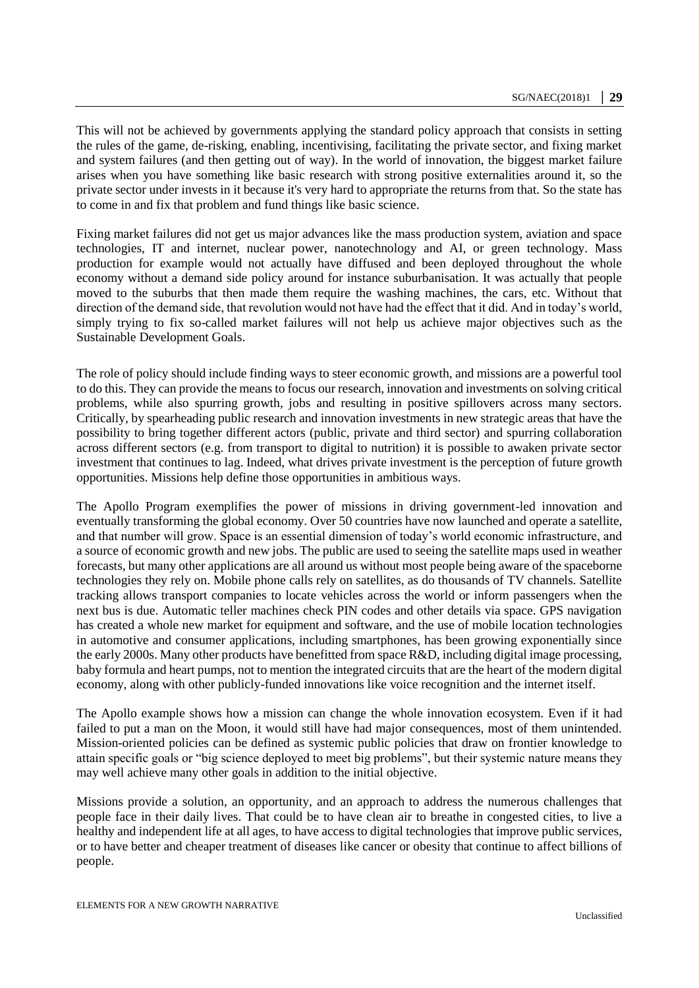This will not be achieved by governments applying the standard policy approach that consists in setting the rules of the game, de-risking, enabling, incentivising, facilitating the private sector, and fixing market and system failures (and then getting out of way). In the world of innovation, the biggest market failure arises when you have something like basic research with strong positive externalities around it, so the private sector under invests in it because it's very hard to appropriate the returns from that. So the state has to come in and fix that problem and fund things like basic science.

Fixing market failures did not get us major advances like the mass production system, aviation and space technologies, IT and internet, nuclear power, nanotechnology and AI, or green technology. Mass production for example would not actually have diffused and been deployed throughout the whole economy without a demand side policy around for instance suburbanisation. It was actually that people moved to the suburbs that then made them require the washing machines, the cars, etc. Without that direction of the demand side, that revolution would not have had the effect that it did. And in today's world, simply trying to fix so-called market failures will not help us achieve major objectives such as the Sustainable Development Goals.

The role of policy should include finding ways to steer economic growth, and missions are a powerful tool to do this. They can provide the means to focus our research, innovation and investments on solving critical problems, while also spurring growth, jobs and resulting in positive spillovers across many sectors. Critically, by spearheading public research and innovation investments in new strategic areas that have the possibility to bring together different actors (public, private and third sector) and spurring collaboration across different sectors (e.g. from transport to digital to nutrition) it is possible to awaken private sector investment that continues to lag. Indeed, what drives private investment is the perception of future growth opportunities. Missions help define those opportunities in ambitious ways.

The Apollo Program exemplifies the power of missions in driving government-led innovation and eventually transforming the global economy. Over 50 countries have now launched and operate a satellite, and that number will grow. Space is an essential dimension of today's world economic infrastructure, and a source of economic growth and new jobs. The public are used to seeing the satellite maps used in weather forecasts, but many other applications are all around us without most people being aware of the spaceborne technologies they rely on. Mobile phone calls rely on satellites, as do thousands of TV channels. Satellite tracking allows transport companies to locate vehicles across the world or inform passengers when the next bus is due. Automatic teller machines check PIN codes and other details via space. GPS navigation has created a whole new market for equipment and software, and the use of mobile location technologies in automotive and consumer applications, including smartphones, has been growing exponentially since the early 2000s. Many other products have benefitted from space R&D, including digital image processing, baby formula and heart pumps, not to mention the integrated circuits that are the heart of the modern digital economy, along with other publicly-funded innovations like voice recognition and the internet itself.

The Apollo example shows how a mission can change the whole innovation ecosystem. Even if it had failed to put a man on the Moon, it would still have had major consequences, most of them unintended. Mission-oriented policies can be defined as systemic public policies that draw on frontier knowledge to attain specific goals or "big science deployed to meet big problems", but their systemic nature means they may well achieve many other goals in addition to the initial objective.

Missions provide a solution, an opportunity, and an approach to address the numerous challenges that people face in their daily lives. That could be to have clean air to breathe in congested cities, to live a healthy and independent life at all ages, to have access to digital technologies that improve public services, or to have better and cheaper treatment of diseases like cancer or obesity that continue to affect billions of people.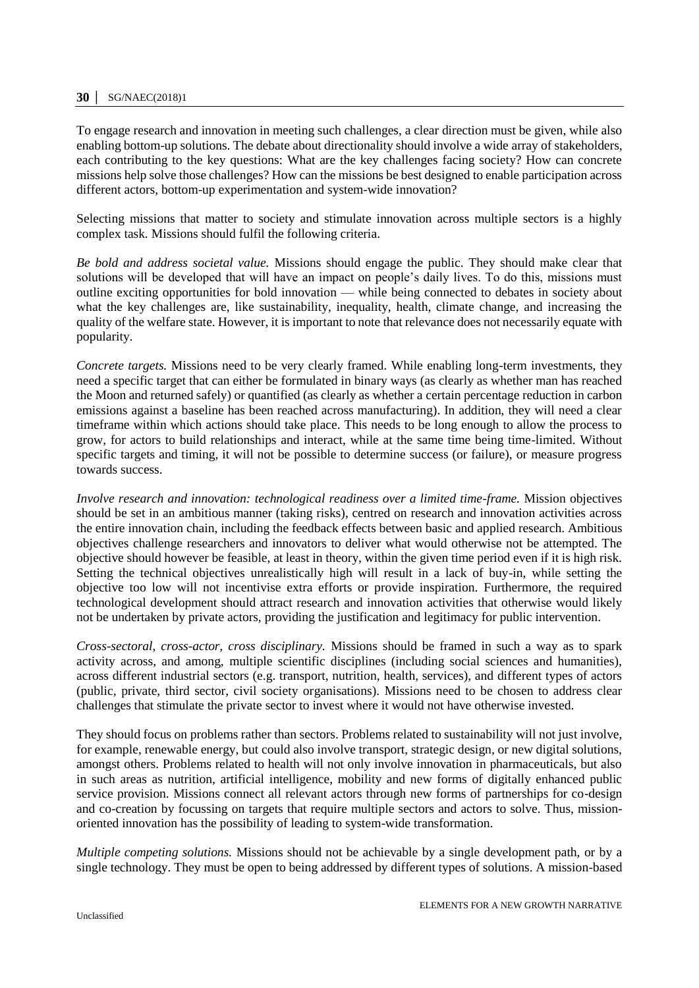To engage research and innovation in meeting such challenges, a clear direction must be given, while also enabling bottom-up solutions. The debate about directionality should involve a wide array of stakeholders, each contributing to the key questions: What are the key challenges facing society? How can concrete missions help solve those challenges? How can the missions be best designed to enable participation across different actors, bottom-up experimentation and system-wide innovation?

Selecting missions that matter to society and stimulate innovation across multiple sectors is a highly complex task. Missions should fulfil the following criteria.

*Be bold and address societal value.* Missions should engage the public. They should make clear that solutions will be developed that will have an impact on people's daily lives. To do this, missions must outline exciting opportunities for bold innovation — while being connected to debates in society about what the key challenges are, like sustainability, inequality, health, climate change, and increasing the quality of the welfare state. However, it is important to note that relevance does not necessarily equate with popularity.

*Concrete targets.* Missions need to be very clearly framed. While enabling long-term investments, they need a specific target that can either be formulated in binary ways (as clearly as whether man has reached the Moon and returned safely) or quantified (as clearly as whether a certain percentage reduction in carbon emissions against a baseline has been reached across manufacturing). In addition, they will need a clear timeframe within which actions should take place. This needs to be long enough to allow the process to grow, for actors to build relationships and interact, while at the same time being time-limited. Without specific targets and timing, it will not be possible to determine success (or failure), or measure progress towards success.

*Involve research and innovation: technological readiness over a limited time-frame.* Mission objectives should be set in an ambitious manner (taking risks), centred on research and innovation activities across the entire innovation chain, including the feedback effects between basic and applied research. Ambitious objectives challenge researchers and innovators to deliver what would otherwise not be attempted. The objective should however be feasible, at least in theory, within the given time period even if it is high risk. Setting the technical objectives unrealistically high will result in a lack of buy-in, while setting the objective too low will not incentivise extra efforts or provide inspiration. Furthermore, the required technological development should attract research and innovation activities that otherwise would likely not be undertaken by private actors, providing the justification and legitimacy for public intervention.

*Cross-sectoral, cross-actor, cross disciplinary.* Missions should be framed in such a way as to spark activity across, and among, multiple scientific disciplines (including social sciences and humanities), across different industrial sectors (e.g. transport, nutrition, health, services), and different types of actors (public, private, third sector, civil society organisations). Missions need to be chosen to address clear challenges that stimulate the private sector to invest where it would not have otherwise invested.

They should focus on problems rather than sectors. Problems related to sustainability will not just involve, for example, renewable energy, but could also involve transport, strategic design, or new digital solutions, amongst others. Problems related to health will not only involve innovation in pharmaceuticals, but also in such areas as nutrition, artificial intelligence, mobility and new forms of digitally enhanced public service provision. Missions connect all relevant actors through new forms of partnerships for co-design and co-creation by focussing on targets that require multiple sectors and actors to solve. Thus, missionoriented innovation has the possibility of leading to system-wide transformation.

*Multiple competing solutions.* Missions should not be achievable by a single development path, or by a single technology. They must be open to being addressed by different types of solutions. A mission-based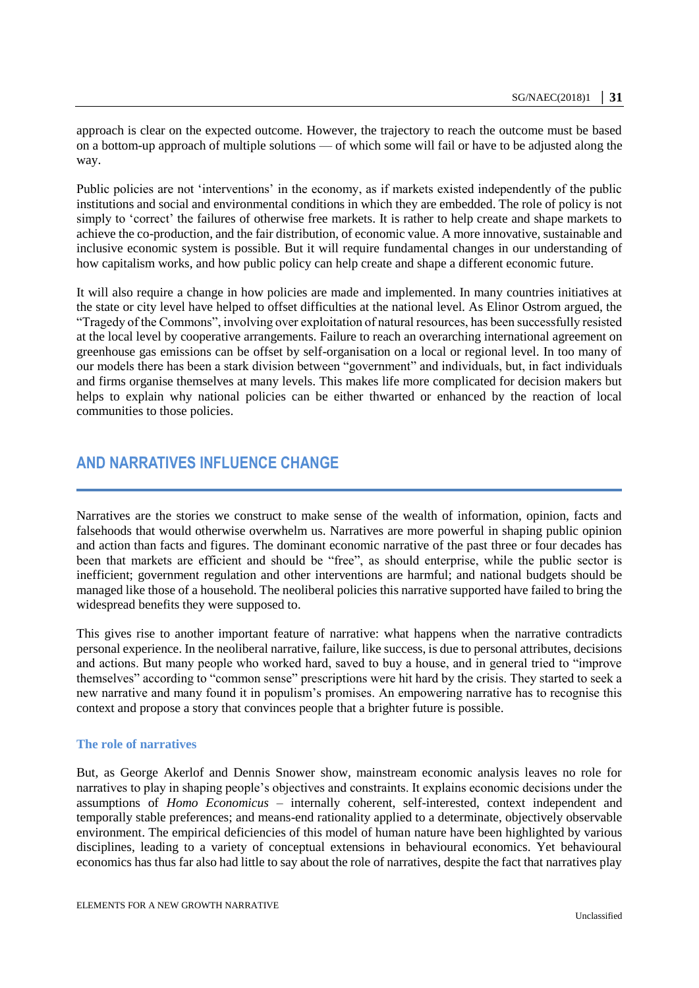approach is clear on the expected outcome. However, the trajectory to reach the outcome must be based on a bottom-up approach of multiple solutions — of which some will fail or have to be adjusted along the way.

Public policies are not 'interventions' in the economy, as if markets existed independently of the public institutions and social and environmental conditions in which they are embedded. The role of policy is not simply to 'correct' the failures of otherwise free markets. It is rather to help create and shape markets to achieve the co-production, and the fair distribution, of economic value. A more innovative, sustainable and inclusive economic system is possible. But it will require fundamental changes in our understanding of how capitalism works, and how public policy can help create and shape a different economic future.

It will also require a change in how policies are made and implemented. In many countries initiatives at the state or city level have helped to offset difficulties at the national level. As Elinor Ostrom argued, the "Tragedy of the Commons", involving over exploitation of natural resources, has been successfully resisted at the local level by cooperative arrangements. Failure to reach an overarching international agreement on greenhouse gas emissions can be offset by self-organisation on a local or regional level. In too many of our models there has been a stark division between "government" and individuals, but, in fact individuals and firms organise themselves at many levels. This makes life more complicated for decision makers but helps to explain why national policies can be either thwarted or enhanced by the reaction of local communities to those policies.

# <span id="page-30-0"></span>**AND NARRATIVES INFLUENCE CHANGE**

Narratives are the stories we construct to make sense of the wealth of information, opinion, facts and falsehoods that would otherwise overwhelm us. Narratives are more powerful in shaping public opinion and action than facts and figures. The dominant economic narrative of the past three or four decades has been that markets are efficient and should be "free", as should enterprise, while the public sector is inefficient; government regulation and other interventions are harmful; and national budgets should be managed like those of a household. The neoliberal policies this narrative supported have failed to bring the widespread benefits they were supposed to.

This gives rise to another important feature of narrative: what happens when the narrative contradicts personal experience. In the neoliberal narrative, failure, like success, is due to personal attributes, decisions and actions. But many people who worked hard, saved to buy a house, and in general tried to "improve themselves" according to "common sense" prescriptions were hit hard by the crisis. They started to seek a new narrative and many found it in populism's promises. An empowering narrative has to recognise this context and propose a story that convinces people that a brighter future is possible.

#### <span id="page-30-1"></span>**The role of narratives**

But, as George Akerlof and Dennis Snower show, mainstream economic analysis leaves no role for narratives to play in shaping people's objectives and constraints. It explains economic decisions under the assumptions of *Homo Economicus* – internally coherent, self-interested, context independent and temporally stable preferences; and means-end rationality applied to a determinate, objectively observable environment. The empirical deficiencies of this model of human nature have been highlighted by various disciplines, leading to a variety of conceptual extensions in behavioural economics. Yet behavioural economics has thus far also had little to say about the role of narratives, despite the fact that narratives play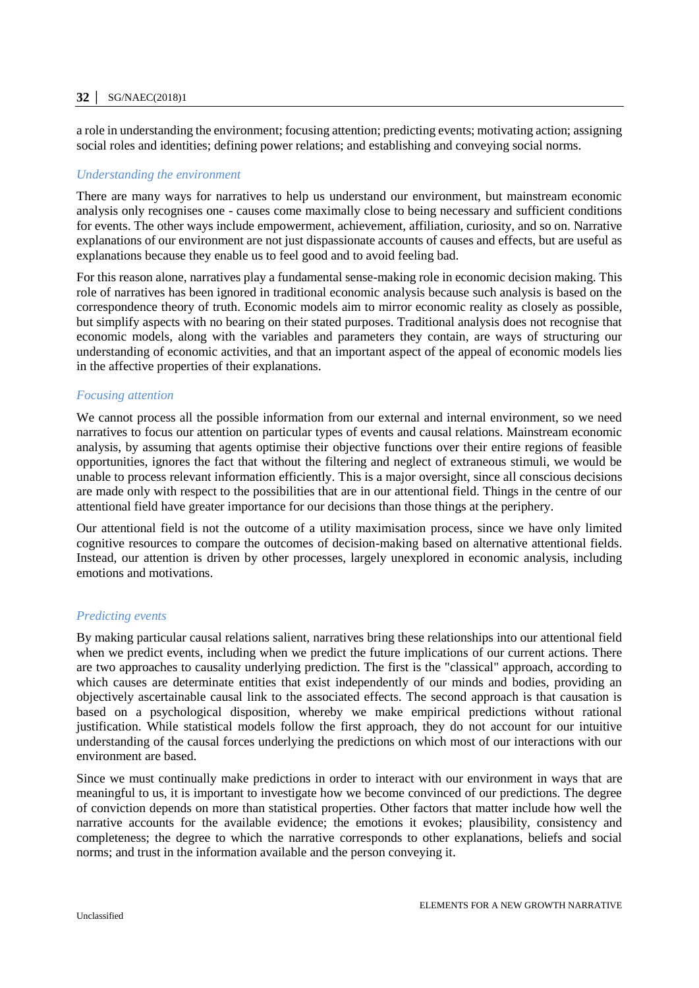a role in understanding the environment; focusing attention; predicting events; motivating action; assigning social roles and identities; defining power relations; and establishing and conveying social norms.

### *Understanding the environment*

There are many ways for narratives to help us understand our environment, but mainstream economic analysis only recognises one - causes come maximally close to being necessary and sufficient conditions for events. The other ways include empowerment, achievement, affiliation, curiosity, and so on. Narrative explanations of our environment are not just dispassionate accounts of causes and effects, but are useful as explanations because they enable us to feel good and to avoid feeling bad.

For this reason alone, narratives play a fundamental sense-making role in economic decision making. This role of narratives has been ignored in traditional economic analysis because such analysis is based on the correspondence theory of truth. Economic models aim to mirror economic reality as closely as possible, but simplify aspects with no bearing on their stated purposes. Traditional analysis does not recognise that economic models, along with the variables and parameters they contain, are ways of structuring our understanding of economic activities, and that an important aspect of the appeal of economic models lies in the affective properties of their explanations.

#### *Focusing attention*

We cannot process all the possible information from our external and internal environment, so we need narratives to focus our attention on particular types of events and causal relations. Mainstream economic analysis, by assuming that agents optimise their objective functions over their entire regions of feasible opportunities, ignores the fact that without the filtering and neglect of extraneous stimuli, we would be unable to process relevant information efficiently. This is a major oversight, since all conscious decisions are made only with respect to the possibilities that are in our attentional field. Things in the centre of our attentional field have greater importance for our decisions than those things at the periphery.

Our attentional field is not the outcome of a utility maximisation process, since we have only limited cognitive resources to compare the outcomes of decision-making based on alternative attentional fields. Instead, our attention is driven by other processes, largely unexplored in economic analysis, including emotions and motivations.

# *Predicting events*

By making particular causal relations salient, narratives bring these relationships into our attentional field when we predict events, including when we predict the future implications of our current actions. There are two approaches to causality underlying prediction. The first is the "classical" approach, according to which causes are determinate entities that exist independently of our minds and bodies, providing an objectively ascertainable causal link to the associated effects. The second approach is that causation is based on a psychological disposition, whereby we make empirical predictions without rational justification. While statistical models follow the first approach, they do not account for our intuitive understanding of the causal forces underlying the predictions on which most of our interactions with our environment are based.

Since we must continually make predictions in order to interact with our environment in ways that are meaningful to us, it is important to investigate how we become convinced of our predictions. The degree of conviction depends on more than statistical properties. Other factors that matter include how well the narrative accounts for the available evidence; the emotions it evokes; plausibility, consistency and completeness; the degree to which the narrative corresponds to other explanations, beliefs and social norms; and trust in the information available and the person conveying it.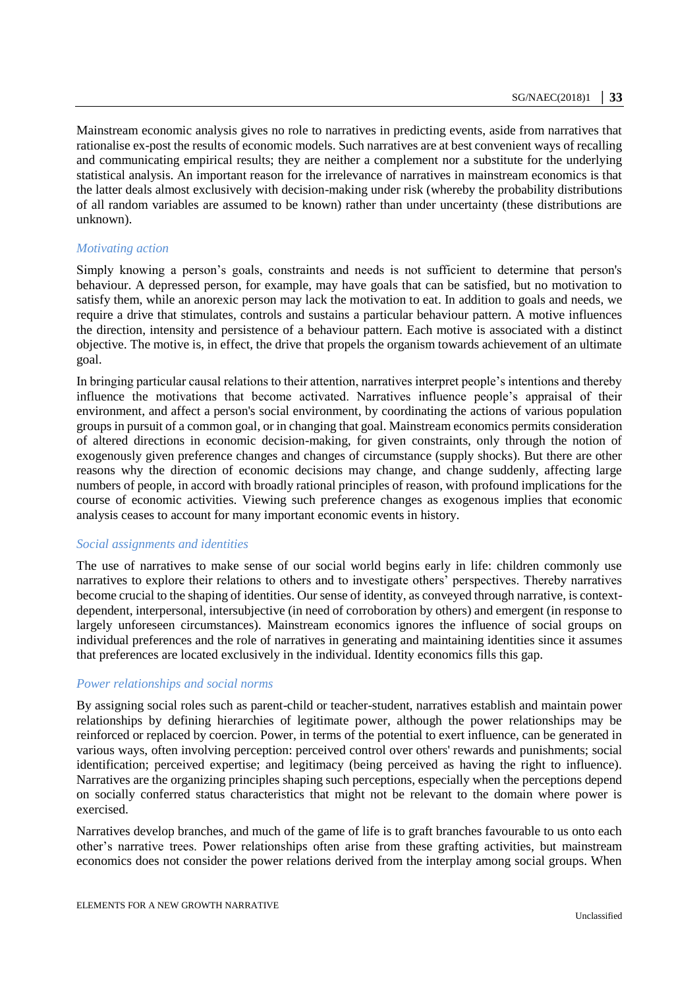Mainstream economic analysis gives no role to narratives in predicting events, aside from narratives that rationalise ex-post the results of economic models. Such narratives are at best convenient ways of recalling and communicating empirical results; they are neither a complement nor a substitute for the underlying statistical analysis. An important reason for the irrelevance of narratives in mainstream economics is that the latter deals almost exclusively with decision-making under risk (whereby the probability distributions of all random variables are assumed to be known) rather than under uncertainty (these distributions are unknown).

#### *Motivating action*

Simply knowing a person's goals, constraints and needs is not sufficient to determine that person's behaviour. A depressed person, for example, may have goals that can be satisfied, but no motivation to satisfy them, while an anorexic person may lack the motivation to eat. In addition to goals and needs, we require a drive that stimulates, controls and sustains a particular behaviour pattern. A motive influences the direction, intensity and persistence of a behaviour pattern. Each motive is associated with a distinct objective. The motive is, in effect, the drive that propels the organism towards achievement of an ultimate goal.

In bringing particular causal relations to their attention, narratives interpret people's intentions and thereby influence the motivations that become activated. Narratives influence people's appraisal of their environment, and affect a person's social environment, by coordinating the actions of various population groups in pursuit of a common goal, or in changing that goal. Mainstream economics permits consideration of altered directions in economic decision-making, for given constraints, only through the notion of exogenously given preference changes and changes of circumstance (supply shocks). But there are other reasons why the direction of economic decisions may change, and change suddenly, affecting large numbers of people, in accord with broadly rational principles of reason, with profound implications for the course of economic activities. Viewing such preference changes as exogenous implies that economic analysis ceases to account for many important economic events in history.

# *Social assignments and identities*

The use of narratives to make sense of our social world begins early in life: children commonly use narratives to explore their relations to others and to investigate others' perspectives. Thereby narratives become crucial to the shaping of identities. Our sense of identity, as conveyed through narrative, is contextdependent, interpersonal, intersubjective (in need of corroboration by others) and emergent (in response to largely unforeseen circumstances). Mainstream economics ignores the influence of social groups on individual preferences and the role of narratives in generating and maintaining identities since it assumes that preferences are located exclusively in the individual. Identity economics fills this gap.

# *Power relationships and social norms*

By assigning social roles such as parent-child or teacher-student, narratives establish and maintain power relationships by defining hierarchies of legitimate power, although the power relationships may be reinforced or replaced by coercion. Power, in terms of the potential to exert influence, can be generated in various ways, often involving perception: perceived control over others' rewards and punishments; social identification; perceived expertise; and legitimacy (being perceived as having the right to influence). Narratives are the organizing principles shaping such perceptions, especially when the perceptions depend on socially conferred status characteristics that might not be relevant to the domain where power is exercised.

Narratives develop branches, and much of the game of life is to graft branches favourable to us onto each other's narrative trees. Power relationships often arise from these grafting activities, but mainstream economics does not consider the power relations derived from the interplay among social groups. When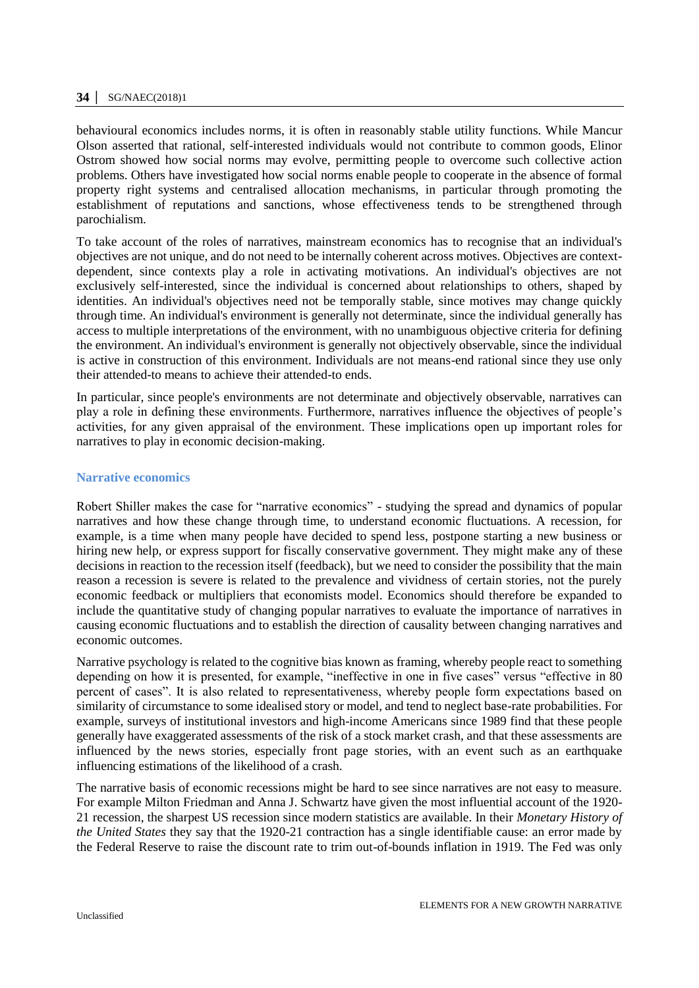behavioural economics includes norms, it is often in reasonably stable utility functions. While Mancur Olson asserted that rational, self-interested individuals would not contribute to common goods, Elinor Ostrom showed how social norms may evolve, permitting people to overcome such collective action problems. Others have investigated how social norms enable people to cooperate in the absence of formal property right systems and centralised allocation mechanisms, in particular through promoting the establishment of reputations and sanctions, whose effectiveness tends to be strengthened through parochialism.

To take account of the roles of narratives, mainstream economics has to recognise that an individual's objectives are not unique, and do not need to be internally coherent across motives. Objectives are contextdependent, since contexts play a role in activating motivations. An individual's objectives are not exclusively self-interested, since the individual is concerned about relationships to others, shaped by identities. An individual's objectives need not be temporally stable, since motives may change quickly through time. An individual's environment is generally not determinate, since the individual generally has access to multiple interpretations of the environment, with no unambiguous objective criteria for defining the environment. An individual's environment is generally not objectively observable, since the individual is active in construction of this environment. Individuals are not means-end rational since they use only their attended-to means to achieve their attended-to ends.

In particular, since people's environments are not determinate and objectively observable, narratives can play a role in defining these environments. Furthermore, narratives influence the objectives of people's activities, for any given appraisal of the environment. These implications open up important roles for narratives to play in economic decision-making.

# <span id="page-33-0"></span>**Narrative economics**

Robert Shiller makes the case for "narrative economics" - studying the spread and dynamics of popular narratives and how these change through time, to understand economic fluctuations. A recession, for example, is a time when many people have decided to spend less, postpone starting a new business or hiring new help, or express support for fiscally conservative government. They might make any of these decisions in reaction to the recession itself (feedback), but we need to consider the possibility that the main reason a recession is severe is related to the prevalence and vividness of certain stories, not the purely economic feedback or multipliers that economists model. Economics should therefore be expanded to include the quantitative study of changing popular narratives to evaluate the importance of narratives in causing economic fluctuations and to establish the direction of causality between changing narratives and economic outcomes.

Narrative psychology is related to the cognitive bias known as framing, whereby people react to something depending on how it is presented, for example, "ineffective in one in five cases" versus "effective in 80 percent of cases". It is also related to representativeness, whereby people form expectations based on similarity of circumstance to some idealised story or model, and tend to neglect base-rate probabilities. For example, surveys of institutional investors and high-income Americans since 1989 find that these people generally have exaggerated assessments of the risk of a stock market crash, and that these assessments are influenced by the news stories, especially front page stories, with an event such as an earthquake influencing estimations of the likelihood of a crash.

The narrative basis of economic recessions might be hard to see since narratives are not easy to measure. For example Milton Friedman and Anna J. Schwartz have given the most influential account of the 1920- 21 recession, the sharpest US recession since modern statistics are available. In their *Monetary History of the United States* they say that the 1920-21 contraction has a single identifiable cause: an error made by the Federal Reserve to raise the discount rate to trim out-of-bounds inflation in 1919. The Fed was only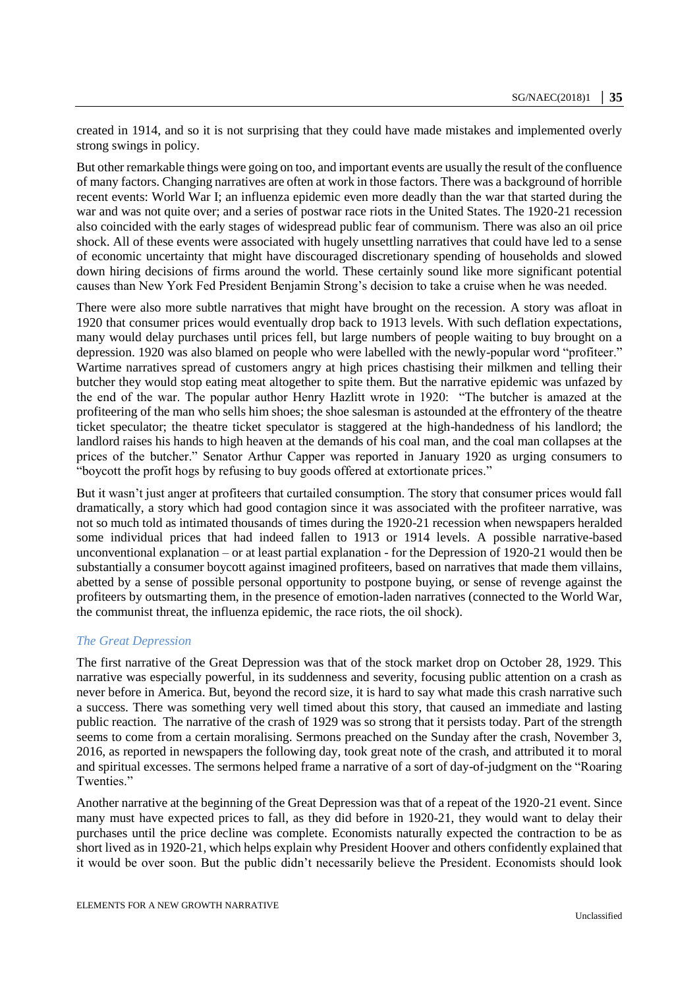created in 1914, and so it is not surprising that they could have made mistakes and implemented overly strong swings in policy.

But other remarkable things were going on too, and important events are usually the result of the confluence of many factors. Changing narratives are often at work in those factors. There was a background of horrible recent events: World War I; an influenza epidemic even more deadly than the war that started during the war and was not quite over; and a series of postwar race riots in the United States. The 1920-21 recession also coincided with the early stages of widespread public fear of communism. There was also an oil price shock. All of these events were associated with hugely unsettling narratives that could have led to a sense of economic uncertainty that might have discouraged discretionary spending of households and slowed down hiring decisions of firms around the world. These certainly sound like more significant potential causes than New York Fed President Benjamin Strong's decision to take a cruise when he was needed.

There were also more subtle narratives that might have brought on the recession. A story was afloat in 1920 that consumer prices would eventually drop back to 1913 levels. With such deflation expectations, many would delay purchases until prices fell, but large numbers of people waiting to buy brought on a depression. 1920 was also blamed on people who were labelled with the newly-popular word "profiteer." Wartime narratives spread of customers angry at high prices chastising their milkmen and telling their butcher they would stop eating meat altogether to spite them. But the narrative epidemic was unfazed by the end of the war. The popular author Henry Hazlitt wrote in 1920: "The butcher is amazed at the profiteering of the man who sells him shoes; the shoe salesman is astounded at the effrontery of the theatre ticket speculator; the theatre ticket speculator is staggered at the high-handedness of his landlord; the landlord raises his hands to high heaven at the demands of his coal man, and the coal man collapses at the prices of the butcher." Senator Arthur Capper was reported in January 1920 as urging consumers to "boycott the profit hogs by refusing to buy goods offered at extortionate prices."

But it wasn't just anger at profiteers that curtailed consumption. The story that consumer prices would fall dramatically, a story which had good contagion since it was associated with the profiteer narrative, was not so much told as intimated thousands of times during the 1920-21 recession when newspapers heralded some individual prices that had indeed fallen to 1913 or 1914 levels. A possible narrative-based unconventional explanation – or at least partial explanation - for the Depression of 1920-21 would then be substantially a consumer boycott against imagined profiteers, based on narratives that made them villains, abetted by a sense of possible personal opportunity to postpone buying, or sense of revenge against the profiteers by outsmarting them, in the presence of emotion-laden narratives (connected to the World War, the communist threat, the influenza epidemic, the race riots, the oil shock).

# *The Great Depression*

The first narrative of the Great Depression was that of the stock market drop on October 28, 1929. This narrative was especially powerful, in its suddenness and severity, focusing public attention on a crash as never before in America. But, beyond the record size, it is hard to say what made this crash narrative such a success. There was something very well timed about this story, that caused an immediate and lasting public reaction. The narrative of the crash of 1929 was so strong that it persists today. Part of the strength seems to come from a certain moralising. Sermons preached on the Sunday after the crash, November 3, 2016, as reported in newspapers the following day, took great note of the crash, and attributed it to moral and spiritual excesses. The sermons helped frame a narrative of a sort of day-of-judgment on the "Roaring Twenties."

Another narrative at the beginning of the Great Depression was that of a repeat of the 1920-21 event. Since many must have expected prices to fall, as they did before in 1920-21, they would want to delay their purchases until the price decline was complete. Economists naturally expected the contraction to be as short lived as in 1920-21, which helps explain why President Hoover and others confidently explained that it would be over soon. But the public didn't necessarily believe the President. Economists should look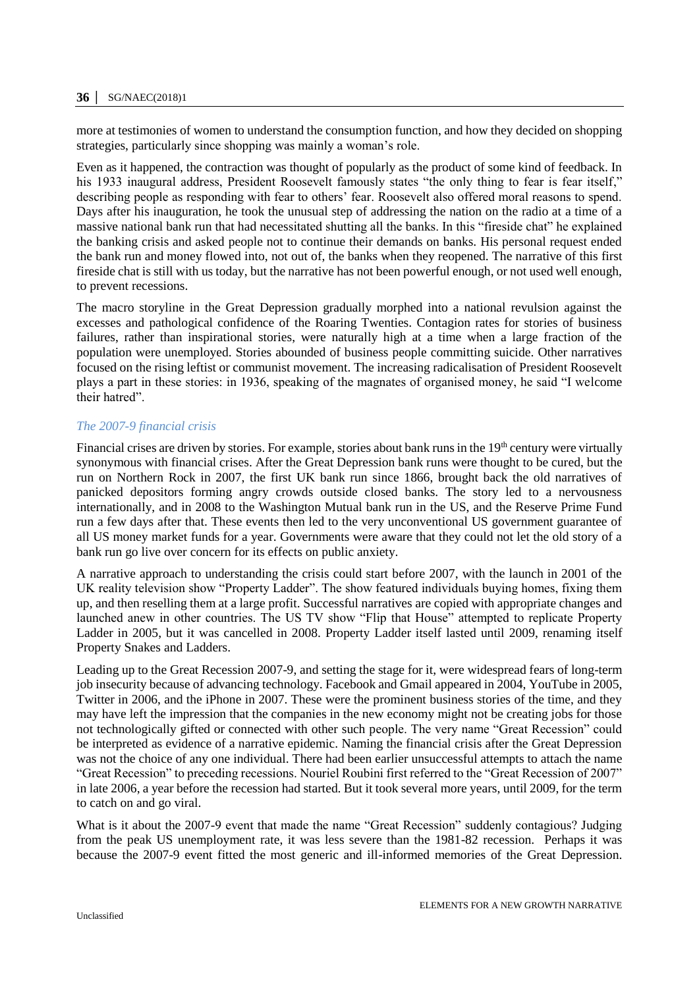more at testimonies of women to understand the consumption function, and how they decided on shopping strategies, particularly since shopping was mainly a woman's role.

Even as it happened, the contraction was thought of popularly as the product of some kind of feedback. In his 1933 inaugural address, President Roosevelt famously states "the only thing to fear is fear itself," describing people as responding with fear to others' fear. Roosevelt also offered moral reasons to spend. Days after his inauguration, he took the unusual step of addressing the nation on the radio at a time of a massive national bank run that had necessitated shutting all the banks. In this "fireside chat" he explained the banking crisis and asked people not to continue their demands on banks. His personal request ended the bank run and money flowed into, not out of, the banks when they reopened. The narrative of this first fireside chat is still with us today, but the narrative has not been powerful enough, or not used well enough, to prevent recessions.

The macro storyline in the Great Depression gradually morphed into a national revulsion against the excesses and pathological confidence of the Roaring Twenties. Contagion rates for stories of business failures, rather than inspirational stories, were naturally high at a time when a large fraction of the population were unemployed. Stories abounded of business people committing suicide. Other narratives focused on the rising leftist or communist movement. The increasing radicalisation of President Roosevelt plays a part in these stories: in 1936, speaking of the magnates of organised money, he said "I welcome their hatred".

#### *The 2007-9 financial crisis*

Financial crises are driven by stories. For example, stories about bank runs in the 19<sup>th</sup> century were virtually synonymous with financial crises. After the Great Depression bank runs were thought to be cured, but the run on Northern Rock in 2007, the first UK bank run since 1866, brought back the old narratives of panicked depositors forming angry crowds outside closed banks. The story led to a nervousness internationally, and in 2008 to the Washington Mutual bank run in the US, and the Reserve Prime Fund run a few days after that. These events then led to the very unconventional US government guarantee of all US money market funds for a year. Governments were aware that they could not let the old story of a bank run go live over concern for its effects on public anxiety.

A narrative approach to understanding the crisis could start before 2007, with the launch in 2001 of the UK reality television show "Property Ladder". The show featured individuals buying homes, fixing them up, and then reselling them at a large profit. Successful narratives are copied with appropriate changes and launched anew in other countries. The US TV show "Flip that House" attempted to replicate Property Ladder in 2005, but it was cancelled in 2008. Property Ladder itself lasted until 2009, renaming itself Property Snakes and Ladders.

Leading up to the Great Recession 2007-9, and setting the stage for it, were widespread fears of long-term job insecurity because of advancing technology. Facebook and Gmail appeared in 2004, YouTube in 2005, Twitter in 2006, and the iPhone in 2007. These were the prominent business stories of the time, and they may have left the impression that the companies in the new economy might not be creating jobs for those not technologically gifted or connected with other such people. The very name "Great Recession" could be interpreted as evidence of a narrative epidemic. Naming the financial crisis after the Great Depression was not the choice of any one individual. There had been earlier unsuccessful attempts to attach the name "Great Recession" to preceding recessions. Nouriel Roubini first referred to the "Great Recession of 2007" in late 2006, a year before the recession had started. But it took several more years, until 2009, for the term to catch on and go viral.

What is it about the 2007-9 event that made the name "Great Recession" suddenly contagious? Judging from the peak US unemployment rate, it was less severe than the 1981-82 recession. Perhaps it was because the 2007-9 event fitted the most generic and ill-informed memories of the Great Depression.